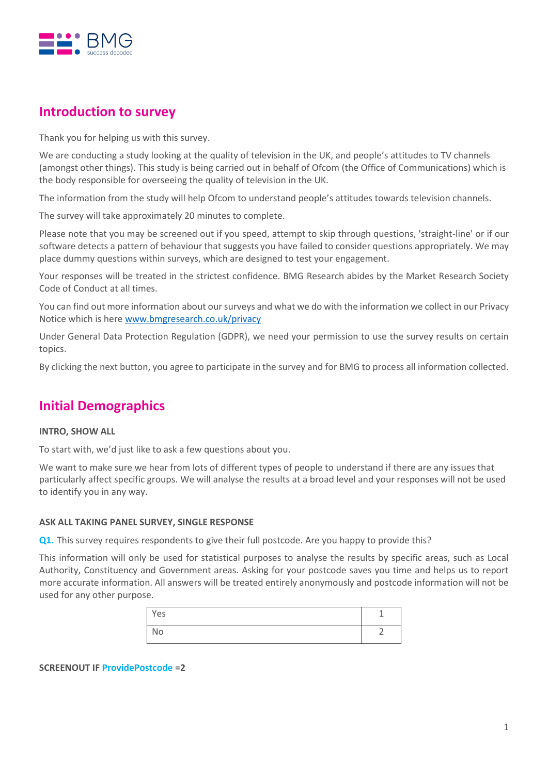

# **Introduction to survey**

Thank you for helping us with this survey.

We are conducting a study looking at the quality of television in the UK, and people's attitudes to TV channels (amongst other things). This study is being carried out in behalf of Ofcom (the Office of Communications) which is the body responsible for overseeing the quality of television in the UK.

The information from the study will help Ofcom to understand people's attitudes towards television channels.

The survey will take approximately 20 minutes to complete.

Please note that you may be screened out if you speed, attempt to skip through questions, 'straight-line' or if our software detects a pattern of behaviour that suggests you have failed to consider questions appropriately. We may place dummy questions within surveys, which are designed to test your engagement.

Your responses will be treated in the strictest confidence. BMG Research abides by the Market Research Society Code of Conduct at all times.

You can find out more information about our surveys and what we do with the information we collect in our Privacy Notice which is here [www.bmgresearch.co.uk/privacy](http://www.bmgresearch.co.uk/privacy)

Under General Data Protection Regulation (GDPR), we need your permission to use the survey results on certain topics.

By clicking the next button, you agree to participate in the survey and for BMG to process all information collected.

# **Initial Demographics**

#### **INTRO, SHOW ALL**

To start with, we'd just like to ask a few questions about you.

We want to make sure we hear from lots of different types of people to understand if there are any issues that particularly affect specific groups. We will analyse the results at a broad level and your responses will not be used to identify you in any way.

#### **ASK ALL TAKING PANEL SURVEY, SINGLE RESPONSE**

**Q1.** This survey requires respondents to give their full postcode. Are you happy to provide this?

This information will only be used for statistical purposes to analyse the results by specific areas, such as Local Authority, Constituency and Government areas. Asking for your postcode saves you time and helps us to report more accurate information. All answers will be treated entirely anonymously and postcode information will not be used for any other purpose.

| Yes |  |
|-----|--|
| No  |  |

**SCREENOUT IF ProvidePostcode =2**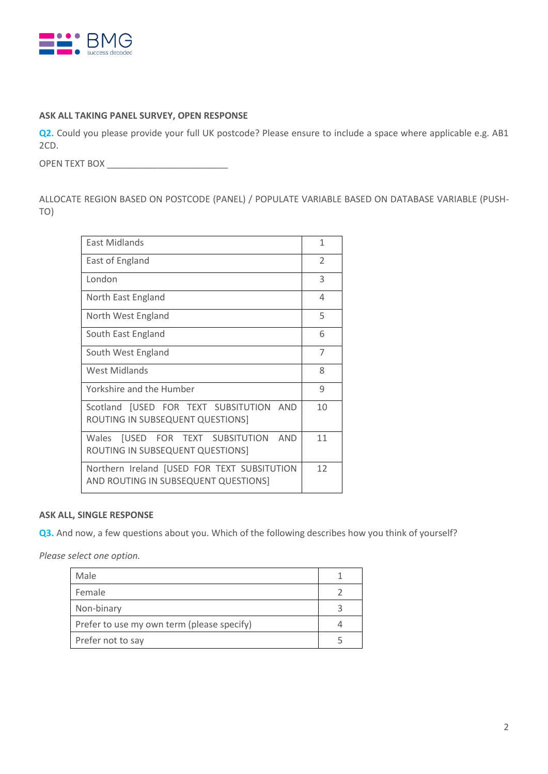

### **ASK ALL TAKING PANEL SURVEY, OPEN RESPONSE**

**Q2.** Could you please provide your full UK postcode? Please ensure to include a space where applicable e.g. AB1 2CD.

OPEN TEXT BOX \_\_\_\_\_\_\_\_\_\_\_\_\_\_\_\_\_\_\_\_\_\_\_\_

ALLOCATE REGION BASED ON POSTCODE (PANEL) / POPULATE VARIABLE BASED ON DATABASE VARIABLE (PUSH-TO)

| <b>East Midlands</b>                                                                | $\mathbf{1}$   |
|-------------------------------------------------------------------------------------|----------------|
| East of England                                                                     | $\overline{2}$ |
| London                                                                              | 3              |
| North East England                                                                  | 4              |
| North West England                                                                  | 5              |
| South East England                                                                  | 6              |
| South West England                                                                  | 7              |
| <b>West Midlands</b>                                                                | 8              |
| Yorkshire and the Humber                                                            | 9              |
| Scotland [USED FOR TEXT SUBSITUTION AND<br>ROUTING IN SUBSEQUENT QUESTIONS]         | 10             |
| Wales [USED FOR TEXT SUBSITUTION<br><b>AND</b><br>ROUTING IN SUBSEQUENT QUESTIONS]  | 11             |
| Northern Ireland [USED FOR TEXT SUBSITUTION<br>AND ROUTING IN SUBSEQUENT QUESTIONS] | 12             |

#### **ASK ALL, SINGLE RESPONSE**

**Q3.** And now, a few questions about you. Which of the following describes how you think of yourself?

*Please select one option.*

| Male                                       |  |
|--------------------------------------------|--|
| Female                                     |  |
| Non-binary                                 |  |
| Prefer to use my own term (please specify) |  |
| Prefer not to say                          |  |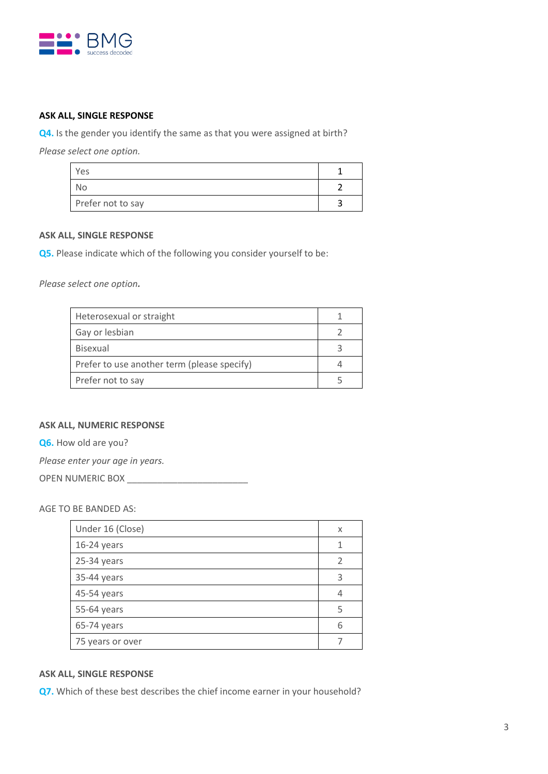

## **ASK ALL, SINGLE RESPONSE**

**Q4.** Is the gender you identify the same as that you were assigned at birth?

*Please select one option.*

| Yes               |  |
|-------------------|--|
| No.               |  |
| Prefer not to say |  |

#### **ASK ALL, SINGLE RESPONSE**

**Q5.** Please indicate which of the following you consider yourself to be:

*Please select one option.*

| Heterosexual or straight                    |  |
|---------------------------------------------|--|
| Gay or lesbian                              |  |
| <b>Bisexual</b>                             |  |
| Prefer to use another term (please specify) |  |
| Prefer not to say                           |  |

#### **ASK ALL, NUMERIC RESPONSE**

**Q6.** How old are you?

*Please enter your age in years.*

OPEN NUMERIC BOX

AGE TO BE BANDED AS:

| Under 16 (Close) | X |
|------------------|---|
| 16-24 years      |   |
| 25-34 years      |   |
| 35-44 years      | 3 |
| 45-54 years      |   |
| 55-64 years      |   |
| 65-74 years      | 6 |
| 75 years or over |   |

#### **ASK ALL, SINGLE RESPONSE**

**Q7.** Which of these best describes the chief income earner in your household?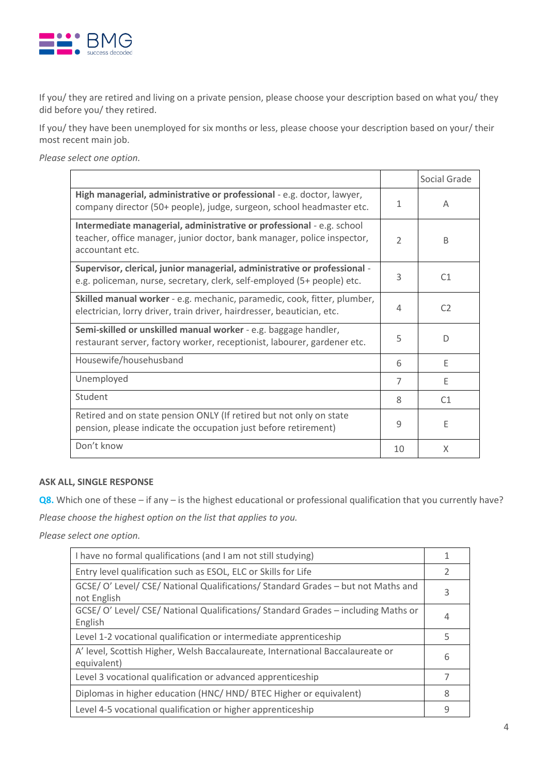

If you/ they are retired and living on a private pension, please choose your description based on what you/ they did before you/ they retired.

If you/ they have been unemployed for six months or less, please choose your description based on your/ their most recent main job.

*Please select one option.*

|                                                                                                                                                                     |                          | Social Grade   |
|---------------------------------------------------------------------------------------------------------------------------------------------------------------------|--------------------------|----------------|
| High managerial, administrative or professional - e.g. doctor, lawyer,<br>company director (50+ people), judge, surgeon, school headmaster etc.                     | 1                        | A              |
| Intermediate managerial, administrative or professional - e.g. school<br>teacher, office manager, junior doctor, bank manager, police inspector,<br>accountant etc. | $\overline{\phantom{a}}$ | B              |
| Supervisor, clerical, junior managerial, administrative or professional -<br>e.g. policeman, nurse, secretary, clerk, self-employed (5+ people) etc.                | 3                        | C <sub>1</sub> |
| Skilled manual worker - e.g. mechanic, paramedic, cook, fitter, plumber,<br>electrician, lorry driver, train driver, hairdresser, beautician, etc.                  | 4                        | C2             |
| Semi-skilled or unskilled manual worker - e.g. baggage handler,<br>restaurant server, factory worker, receptionist, labourer, gardener etc.                         | 5                        | D              |
| Housewife/househusband                                                                                                                                              | 6                        | F              |
| Unemployed                                                                                                                                                          | 7                        | F              |
| Student                                                                                                                                                             | 8                        | C <sub>1</sub> |
| Retired and on state pension ONLY (If retired but not only on state<br>pension, please indicate the occupation just before retirement)                              | 9                        | E              |
| Don't know                                                                                                                                                          | 10                       | X              |

#### **ASK ALL, SINGLE RESPONSE**

**Q8.** Which one of these – if any – is the highest educational or professional qualification that you currently have?

*Please choose the highest option on the list that applies to you.*

*Please select one option.* 

| I have no formal qualifications (and I am not still studying)                                    |   |
|--------------------------------------------------------------------------------------------------|---|
| Entry level qualification such as ESOL, ELC or Skills for Life                                   |   |
| GCSE/ O' Level/ CSE/ National Qualifications/ Standard Grades - but not Maths and<br>not English | 3 |
| GCSE/ O' Level/ CSE/ National Qualifications/ Standard Grades - including Maths or<br>English    | 4 |
| Level 1-2 vocational qualification or intermediate apprenticeship                                | 5 |
| A' level, Scottish Higher, Welsh Baccalaureate, International Baccalaureate or<br>equivalent)    | 6 |
| Level 3 vocational qualification or advanced apprenticeship                                      |   |
| Diplomas in higher education (HNC/HND/BTEC Higher or equivalent)                                 | 8 |
| Level 4-5 vocational qualification or higher apprenticeship                                      | 9 |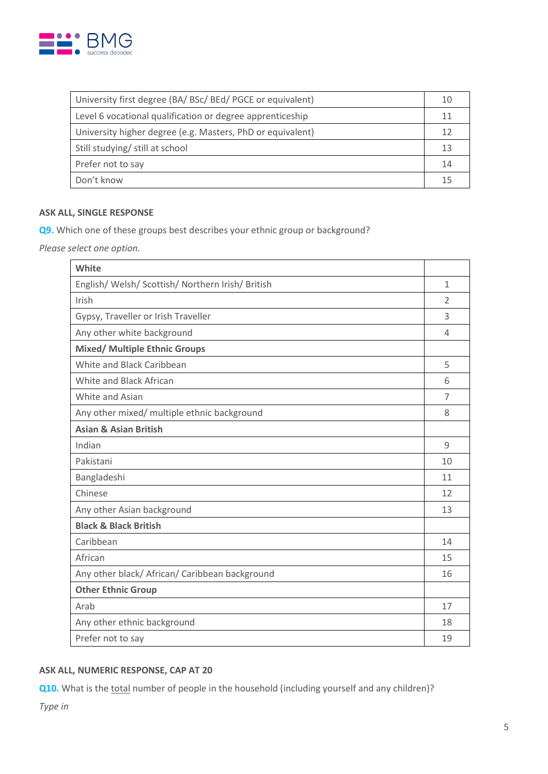

| University first degree (BA/ BSc/ BEd/ PGCE or equivalent) | 10 |
|------------------------------------------------------------|----|
| Level 6 vocational qualification or degree apprenticeship  | 11 |
| University higher degree (e.g. Masters, PhD or equivalent) | 12 |
| Still studying/ still at school                            | 13 |
| Prefer not to say                                          | 14 |
| Don't know                                                 | 15 |

### **ASK ALL, SINGLE RESPONSE**

**Q9.** Which one of these groups best describes your ethnic group or background?

*Please select one option.*

| White                                             |                          |
|---------------------------------------------------|--------------------------|
| English/ Welsh/ Scottish/ Northern Irish/ British | $\mathbf{1}$             |
| Irish                                             | $\overline{\phantom{a}}$ |
| Gypsy, Traveller or Irish Traveller               | 3                        |
| Any other white background                        | 4                        |
| <b>Mixed/ Multiple Ethnic Groups</b>              |                          |
| White and Black Caribbean                         | 5                        |
| White and Black African                           | 6                        |
| White and Asian                                   | 7                        |
| Any other mixed/ multiple ethnic background       | 8                        |
| <b>Asian &amp; Asian British</b>                  |                          |
| Indian                                            | 9                        |
| Pakistani                                         | 10                       |
| Bangladeshi                                       | 11                       |
| Chinese                                           | 12                       |
| Any other Asian background                        | 13                       |
| <b>Black &amp; Black British</b>                  |                          |
| Caribbean                                         | 14                       |
| African                                           | 15                       |
| Any other black/ African/ Caribbean background    | 16                       |
| <b>Other Ethnic Group</b>                         |                          |
| Arab                                              | 17                       |
| Any other ethnic background                       | 18                       |
| Prefer not to say                                 | 19                       |

## **ASK ALL, NUMERIC RESPONSE, CAP AT 20**

**Q10.** What is the total number of people in the household (including yourself and any children)?

*Type in*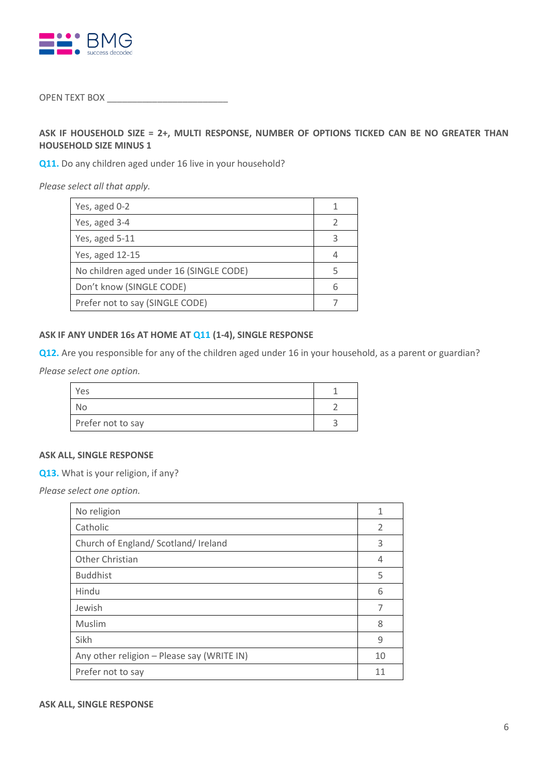

## OPEN TEXT BOX \_\_\_\_\_\_\_\_\_\_\_\_\_\_\_\_\_\_\_\_\_\_\_\_

## **ASK IF HOUSEHOLD SIZE = 2+, MULTI RESPONSE, NUMBER OF OPTIONS TICKED CAN BE NO GREATER THAN HOUSEHOLD SIZE MINUS 1**

**Q11.** Do any children aged under 16 live in your household?

*Please select all that apply.*

| Yes, aged 0-2                           |   |
|-----------------------------------------|---|
| Yes, aged 3-4                           | 2 |
| Yes, aged 5-11                          | 3 |
| Yes, aged 12-15                         |   |
| No children aged under 16 (SINGLE CODE) | 5 |
| Don't know (SINGLE CODE)                | 6 |
| Prefer not to say (SINGLE CODE)         |   |

### **ASK IF ANY UNDER 16s AT HOME AT Q11 (1-4), SINGLE RESPONSE**

**Q12.** Are you responsible for any of the children aged under 16 in your household, as a parent or guardian? *Please select one option.*

| Yes               |  |
|-------------------|--|
| Nο                |  |
| Prefer not to say |  |

### **ASK ALL, SINGLE RESPONSE**

**Q13.** What is your religion, if any?

*Please select one option.* 

| No religion                                | 1             |
|--------------------------------------------|---------------|
| Catholic                                   | $\mathcal{P}$ |
| Church of England/ Scotland/ Ireland       | 3             |
| Other Christian                            | 4             |
| <b>Buddhist</b>                            | 5             |
| Hindu                                      | 6             |
| Jewish                                     | 7             |
| Muslim                                     | 8             |
| Sikh                                       | 9             |
| Any other religion - Please say (WRITE IN) | 10            |
| Prefer not to say                          | 11            |

#### **ASK ALL, SINGLE RESPONSE**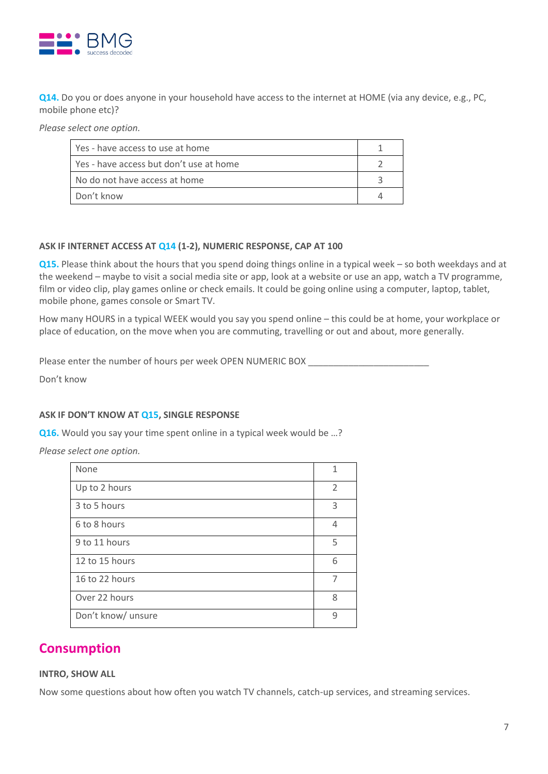

**Q14.** Do you or does anyone in your household have access to the internet at HOME (via any device, e.g., PC, mobile phone etc)?

*Please select one option.* 

| Yes - have access to use at home        |  |
|-----------------------------------------|--|
| Ves - have access but don't use at home |  |
| No do not have access at home           |  |
| Don't know                              |  |

#### **ASK IF INTERNET ACCESS AT Q14 (1-2), NUMERIC RESPONSE, CAP AT 100**

**Q15.** Please think about the hours that you spend doing things online in a typical week – so both weekdays and at the weekend – maybe to visit a social media site or app, look at a website or use an app, watch a TV programme, film or video clip, play games online or check emails. It could be going online using a computer, laptop, tablet, mobile phone, games console or Smart TV.

How many HOURS in a typical WEEK would you say you spend online – this could be at home, your workplace or place of education, on the move when you are commuting, travelling or out and about, more generally.

Please enter the number of hours per week OPEN NUMERIC BOX

Don't know

#### **ASK IF DON'T KNOW AT Q15, SINGLE RESPONSE**

**Q16.** Would you say your time spent online in a typical week would be …?

*Please select one option.* 

| None               | 1                        |
|--------------------|--------------------------|
| Up to 2 hours      | $\overline{\phantom{a}}$ |
| 3 to 5 hours       | 3                        |
| 6 to 8 hours       | 4                        |
| 9 to 11 hours      | 5                        |
| 12 to 15 hours     | 6                        |
| 16 to 22 hours     | $\overline{7}$           |
| Over 22 hours      | 8                        |
| Don't know/ unsure | q                        |

## **Consumption**

#### **INTRO, SHOW ALL**

Now some questions about how often you watch TV channels, catch-up services, and streaming services.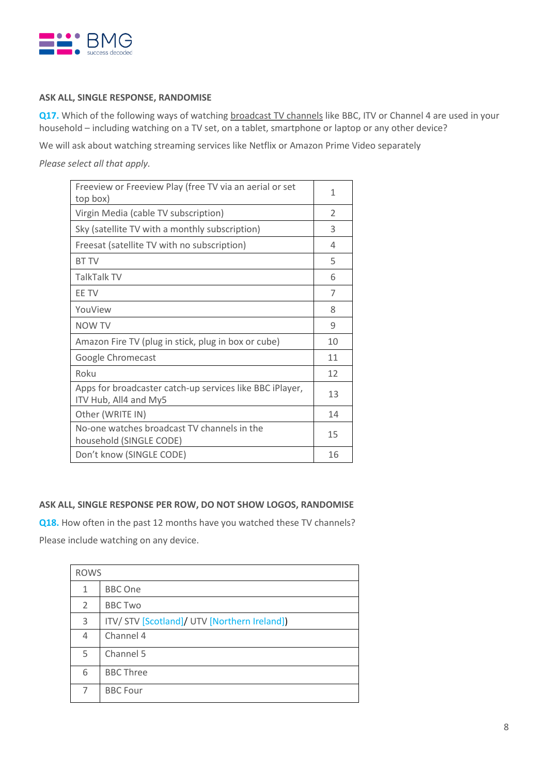

## **ASK ALL, SINGLE RESPONSE, RANDOMISE**

**Q17.** Which of the following ways of watching broadcast TV channels like BBC, ITV or Channel 4 are used in your household – including watching on a TV set, on a tablet, smartphone or laptop or any other device?

We will ask about watching streaming services like Netflix or Amazon Prime Video separately

*Please select all that apply.* 

| Freeview or Freeview Play (free TV via an aerial or set<br>top box)               | 1  |
|-----------------------------------------------------------------------------------|----|
| Virgin Media (cable TV subscription)                                              | 2  |
| Sky (satellite TV with a monthly subscription)                                    | 3  |
| Freesat (satellite TV with no subscription)                                       | 4  |
| <b>BT TV</b>                                                                      | 5  |
| TalkTalk TV                                                                       | 6  |
| <b>FF TV</b>                                                                      | 7  |
| YouView                                                                           | 8  |
| NOW TV                                                                            | 9  |
| Amazon Fire TV (plug in stick, plug in box or cube)                               | 10 |
| Google Chromecast                                                                 | 11 |
| Roku                                                                              | 12 |
| Apps for broadcaster catch-up services like BBC iPlayer,<br>ITV Hub, All4 and My5 | 13 |
| Other (WRITE IN)                                                                  | 14 |
| No-one watches broadcast TV channels in the<br>household (SINGLE CODE)            | 15 |
| Don't know (SINGLE CODE)                                                          | 16 |

## **ASK ALL, SINGLE RESPONSE PER ROW, DO NOT SHOW LOGOS, RANDOMISE**

**Q18.** How often in the past 12 months have you watched these TV channels? Please include watching on any device.

| <b>ROWS</b> |                                              |  |
|-------------|----------------------------------------------|--|
| 1           | <b>BBC</b> One                               |  |
| 2           | <b>BBC Two</b>                               |  |
| 3           | ITV/ STV [Scotland]/ UTV [Northern Ireland]) |  |
| 4           | Channel 4                                    |  |
| 5           | Channel 5                                    |  |
| 6           | <b>BBC Three</b>                             |  |
| 7           | <b>BBC Four</b>                              |  |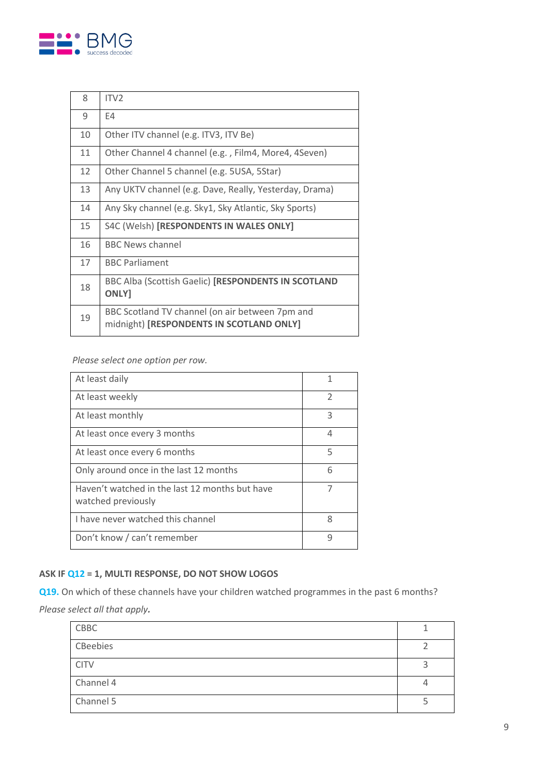

| 8  | ITV <sub>2</sub>                                                                            |
|----|---------------------------------------------------------------------------------------------|
| 9  | E4                                                                                          |
| 10 | Other ITV channel (e.g. ITV3, ITV Be)                                                       |
| 11 | Other Channel 4 channel (e.g., Film4, More4, 4Seven)                                        |
| 12 | Other Channel 5 channel (e.g. 5USA, 5Star)                                                  |
| 13 | Any UKTV channel (e.g. Dave, Really, Yesterday, Drama)                                      |
| 14 | Any Sky channel (e.g. Sky1, Sky Atlantic, Sky Sports)                                       |
| 15 | S4C (Welsh) [RESPONDENTS IN WALES ONLY]                                                     |
| 16 | <b>BBC News channel</b>                                                                     |
| 17 | <b>BBC Parliament</b>                                                                       |
| 18 | BBC Alba (Scottish Gaelic) [RESPONDENTS IN SCOTLAND<br><b>ONLY</b>                          |
| 19 | BBC Scotland TV channel (on air between 7pm and<br>midnight) [RESPONDENTS IN SCOTLAND ONLY] |

*Please select one option per row.*

| At least daily                                                       | 1 |
|----------------------------------------------------------------------|---|
| At least weekly                                                      | 2 |
| At least monthly                                                     | 3 |
| At least once every 3 months                                         | 4 |
| At least once every 6 months                                         | 5 |
| Only around once in the last 12 months                               | 6 |
| Haven't watched in the last 12 months but have<br>watched previously |   |
| I have never watched this channel                                    | 8 |
| Don't know / can't remember                                          | q |

## **ASK IF Q12 = 1, MULTI RESPONSE, DO NOT SHOW LOGOS**

**Q19.** On which of these channels have your children watched programmes in the past 6 months? *Please select all that apply.*

| CBBC        |  |
|-------------|--|
| CBeebies    |  |
| <b>CITV</b> |  |
| Channel 4   |  |
| Channel 5   |  |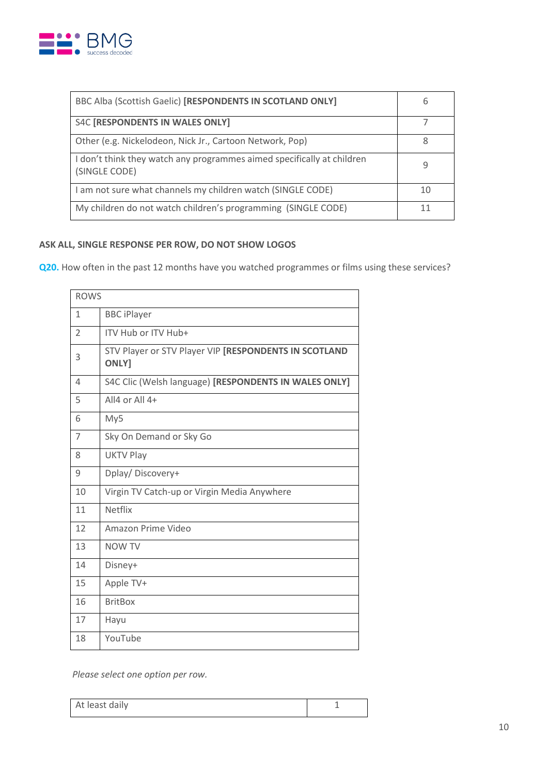

| BBC Alba (Scottish Gaelic) [RESPONDENTS IN SCOTLAND ONLY]                               | 6  |
|-----------------------------------------------------------------------------------------|----|
| S4C [RESPONDENTS IN WALES ONLY]                                                         |    |
| Other (e.g. Nickelodeon, Nick Jr., Cartoon Network, Pop)                                |    |
| I don't think they watch any programmes aimed specifically at children<br>(SINGLE CODE) |    |
| I am not sure what channels my children watch (SINGLE CODE)                             | 10 |
| My children do not watch children's programming (SINGLE CODE)                           |    |

## **ASK ALL, SINGLE RESPONSE PER ROW, DO NOT SHOW LOGOS**

**Q20.** How often in the past 12 months have you watched programmes or films using these services?

| <b>ROWS</b>    |                                                                       |
|----------------|-----------------------------------------------------------------------|
| $\mathbf{1}$   | <b>BBC</b> iPlayer                                                    |
| $\overline{2}$ | ITV Hub or ITV Hub+                                                   |
| 3              | STV Player or STV Player VIP [RESPONDENTS IN SCOTLAND<br><b>ONLY]</b> |
| 4              | S4C Clic (Welsh language) [RESPONDENTS IN WALES ONLY]                 |
| 5              | All4 or All 4+                                                        |
| 6              | My5                                                                   |
| 7              | Sky On Demand or Sky Go                                               |
| 8              | <b>UKTV Play</b>                                                      |
| 9              | Dplay/Discovery+                                                      |
| 10             | Virgin TV Catch-up or Virgin Media Anywhere                           |
| 11             | <b>Netflix</b>                                                        |
| 12             | Amazon Prime Video                                                    |
| 13             | <b>NOW TV</b>                                                         |
| 14             | Disney+                                                               |
| 15             | Apple TV+                                                             |
| 16             | <b>BritBox</b>                                                        |
| 17             | Hayu                                                                  |
| 18             | YouTube                                                               |

*Please select one option per row.*

| At least daily |  |
|----------------|--|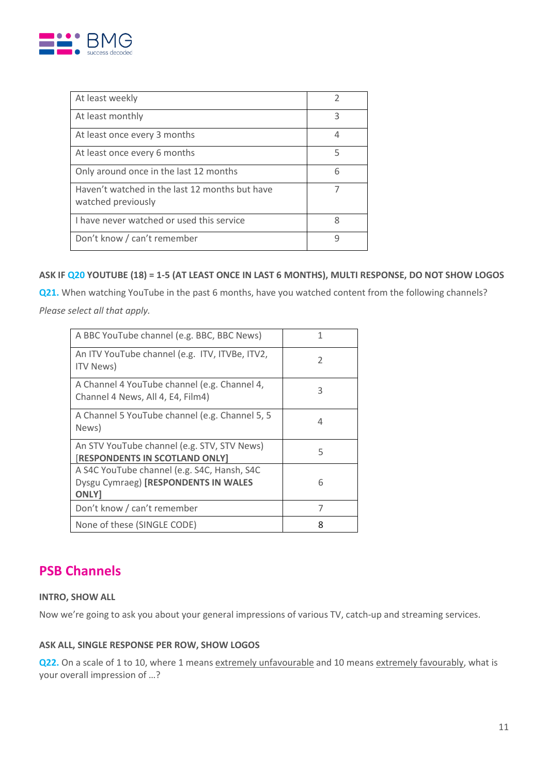

| At least weekly                                                      |   |
|----------------------------------------------------------------------|---|
| At least monthly                                                     | 3 |
| At least once every 3 months                                         | 4 |
| At least once every 6 months                                         | 5 |
| Only around once in the last 12 months                               | 6 |
| Haven't watched in the last 12 months but have<br>watched previously |   |
| I have never watched or used this service                            | 8 |
| Don't know / can't remember                                          | q |

## **ASK IF Q20 YOUTUBE (18) = 1-5 (AT LEAST ONCE IN LAST 6 MONTHS), MULTI RESPONSE, DO NOT SHOW LOGOS**

**Q21.** When watching YouTube in the past 6 months, have you watched content from the following channels?

*Please select all that apply.* 

| A BBC YouTube channel (e.g. BBC, BBC News)                                                         | 1 |
|----------------------------------------------------------------------------------------------------|---|
| An ITV YouTube channel (e.g. ITV, ITVBe, ITV2,<br><b>ITV News</b> )                                | 2 |
| A Channel 4 YouTube channel (e.g. Channel 4,<br>Channel 4 News, All 4, E4, Film4)                  | 3 |
| A Channel 5 YouTube channel (e.g. Channel 5, 5<br>News)                                            | 4 |
| An STV YouTube channel (e.g. STV, STV News)<br>[RESPONDENTS IN SCOTLAND ONLY]                      | 5 |
| A S4C YouTube channel (e.g. S4C, Hansh, S4C<br>Dysgu Cymraeg) [RESPONDENTS IN WALES<br><b>ONLY</b> | 6 |
| Don't know / can't remember                                                                        | 7 |
| None of these (SINGLE CODE)                                                                        | 8 |

# **PSB Channels**

## **INTRO, SHOW ALL**

Now we're going to ask you about your general impressions of various TV, catch-up and streaming services.

## **ASK ALL, SINGLE RESPONSE PER ROW, SHOW LOGOS**

**Q22.** On a scale of 1 to 10, where 1 means extremely unfavourable and 10 means extremely favourably, what is your overall impression of …?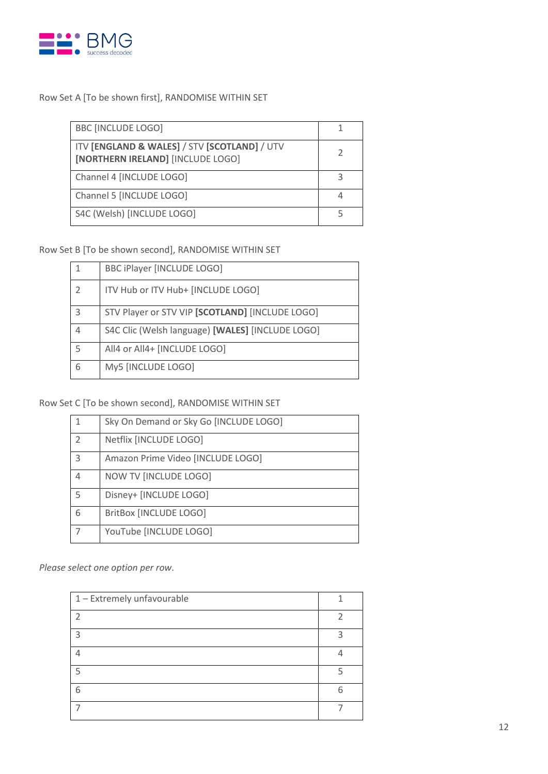

## Row Set A [To be shown first], RANDOMISE WITHIN SET

| <b>BBC [INCLUDE LOGO]</b>                                                         |  |
|-----------------------------------------------------------------------------------|--|
| ITV [ENGLAND & WALES] / STV [SCOTLAND] / UTV<br>[NORTHERN IRELAND] [INCLUDE LOGO] |  |
| Channel 4 [INCLUDE LOGO]                                                          |  |
| Channel 5 [INCLUDE LOGO]                                                          |  |
| S4C (Welsh) [INCLUDE LOGO]                                                        |  |

Row Set B [To be shown second], RANDOMISE WITHIN SET

|               | BBC iPlayer [INCLUDE LOGO]                       |
|---------------|--------------------------------------------------|
| $\mathcal{P}$ | ITV Hub or ITV Hub+ [INCLUDE LOGO]               |
| 3             | STV Player or STV VIP [SCOTLAND] [INCLUDE LOGO]  |
|               | S4C Clic (Welsh language) [WALES] [INCLUDE LOGO] |
| 5             | All4 or All4+ [INCLUDE LOGO]                     |
| 6             | My5 [INCLUDE LOGO]                               |

## Row Set C [To be shown second], RANDOMISE WITHIN SET

|   | Sky On Demand or Sky Go [INCLUDE LOGO] |
|---|----------------------------------------|
|   | Netflix [INCLUDE LOGO]                 |
| 3 | Amazon Prime Video [INCLUDE LOGO]      |
|   | NOW TV [INCLUDE LOGO]                  |
| 5 | Disney+ [INCLUDE LOGO]                 |
| 6 | BritBox [INCLUDE LOGO]                 |
|   | YouTube [INCLUDE LOGO]                 |

*Please select one option per row.*

| 1 - Extremely unfavourable |   |
|----------------------------|---|
| า                          |   |
| 3                          | ว |
|                            |   |
| 5                          |   |
| 6                          | հ |
|                            |   |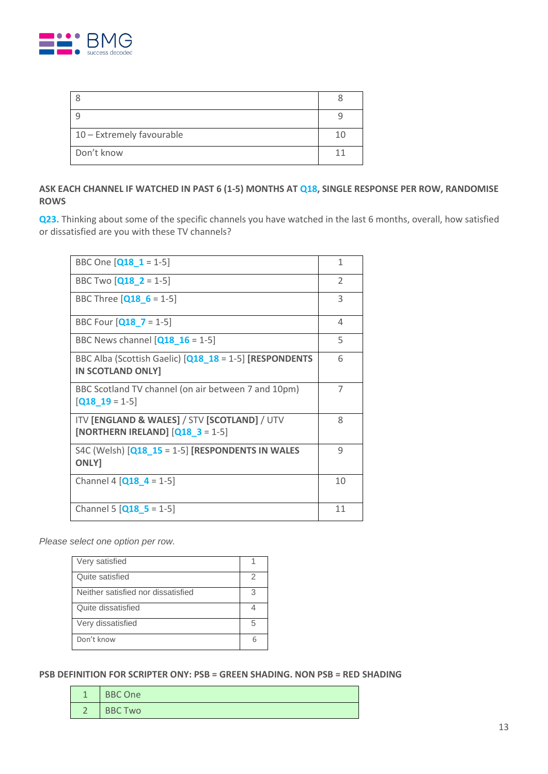

| 10 - Extremely favourable |  |
|---------------------------|--|
| Don't know                |  |

## **ASK EACH CHANNEL IF WATCHED IN PAST 6 (1-5) MONTHS AT Q18, SINGLE RESPONSE PER ROW, RANDOMISE ROWS**

**Q23.** Thinking about some of the specific channels you have watched in the last 6 months, overall, how satisfied or dissatisfied are you with these TV channels?

| BBC One $[Q18 \ 1 = 1-5]$                                                                              | 1              |
|--------------------------------------------------------------------------------------------------------|----------------|
| BBC Two $[Q18 \t2 = 1-5]$                                                                              | 2              |
| BBC Three $[Q18 \ 6 = 1-5]$                                                                            | 3              |
| BBC Four $[Q18 \ 7 = 1-5]$                                                                             | 4              |
| BBC News channel $[Q18 16 = 1-5]$                                                                      | 5              |
| BBC Alba (Scottish Gaelic) [Q18_18 = 1-5] [RESPONDENTS<br><b>IN SCOTLAND ONLY]</b>                     | 6              |
| BBC Scotland TV channel (on air between 7 and 10pm)<br>$[Q18 \t19 = 1-5]$                              | $\overline{7}$ |
| ITV <b>[ENGLAND &amp; WALES]</b> / STV <b>[SCOTLAND]</b> / UTV<br>[NORTHERN IRELAND] $[Q18 \t3 = 1-5]$ | 8              |
| S4C (Welsh) $[Q18 15 = 1-5]$ [RESPONDENTS IN WALES<br><b>ONLY</b>                                      | 9              |
| Channel 4 $[Q18 4 = 1-5]$                                                                              | 10             |
| Channel 5 $[Q18 5 = 1-5]$                                                                              | 11             |

*Please select one option per row.*

| Very satisfied                     |   |
|------------------------------------|---|
| Quite satisfied                    |   |
| Neither satisfied nor dissatisfied | 3 |
| Quite dissatisfied                 |   |
| Very dissatisfied                  | 5 |
| Don't know                         |   |

#### **PSB DEFINITION FOR SCRIPTER ONY: PSB = GREEN SHADING. NON PSB = RED SHADING**

| ◀         | <b>BBC One</b> |
|-----------|----------------|
| $\bigcap$ | <b>BBC Two</b> |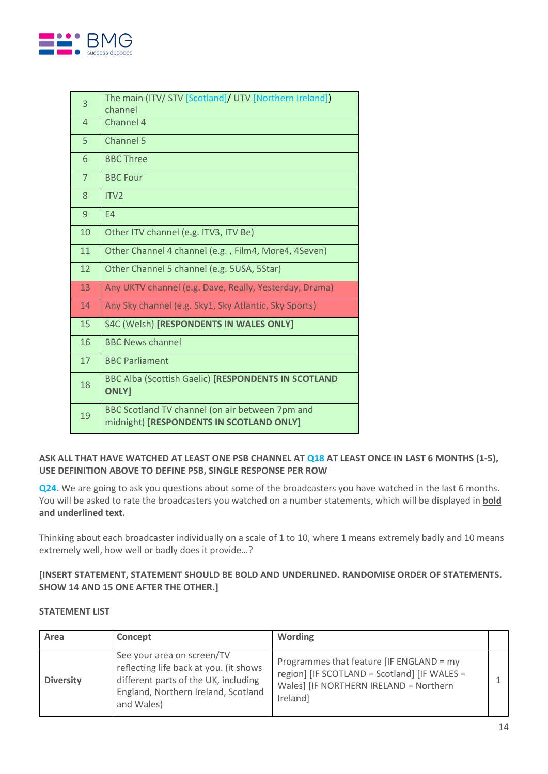

| 3              | The main (ITV/ STV [Scotland]/ UTV [Northern Ireland])<br>channel                           |
|----------------|---------------------------------------------------------------------------------------------|
| 4              | Channel 4                                                                                   |
| 5              | Channel 5                                                                                   |
| 6              | <b>BBC Three</b>                                                                            |
| $\overline{7}$ | <b>BBC Four</b>                                                                             |
| 8              | ITV <sub>2</sub>                                                                            |
| 9              | E4                                                                                          |
| 10             | Other ITV channel (e.g. ITV3, ITV Be)                                                       |
| 11             | Other Channel 4 channel (e.g., Film4, More4, 4Seven)                                        |
| 12             | Other Channel 5 channel (e.g. 5USA, 5Star)                                                  |
| 13             | Any UKTV channel (e.g. Dave, Really, Yesterday, Drama)                                      |
| 14             | Any Sky channel (e.g. Sky1, Sky Atlantic, Sky Sports)                                       |
| 15             | S4C (Welsh) [RESPONDENTS IN WALES ONLY]                                                     |
| 16             | <b>BBC News channel</b>                                                                     |
| 17             | <b>BBC Parliament</b>                                                                       |
| 18             | <b>BBC Alba (Scottish Gaelic) [RESPONDENTS IN SCOTLAND</b><br><b>ONLY</b>                   |
| 19             | BBC Scotland TV channel (on air between 7pm and<br>midnight) [RESPONDENTS IN SCOTLAND ONLY] |

## **ASK ALL THAT HAVE WATCHED AT LEAST ONE PSB CHANNEL AT Q18 AT LEAST ONCE IN LAST 6 MONTHS (1-5), USE DEFINITION ABOVE TO DEFINE PSB, SINGLE RESPONSE PER ROW**

**Q24.** We are going to ask you questions about some of the broadcasters you have watched in the last 6 months. You will be asked to rate the broadcasters you watched on a number statements, which will be displayed in **bold and underlined text.**

Thinking about each broadcaster individually on a scale of 1 to 10, where 1 means extremely badly and 10 means extremely well, how well or badly does it provide…?

## **[INSERT STATEMENT, STATEMENT SHOULD BE BOLD AND UNDERLINED. RANDOMISE ORDER OF STATEMENTS. SHOW 14 AND 15 ONE AFTER THE OTHER.]**

#### **STATEMENT LIST**

| Area             | Concept                                                                                                                                                           | Wording                                                                                                                                        |  |
|------------------|-------------------------------------------------------------------------------------------------------------------------------------------------------------------|------------------------------------------------------------------------------------------------------------------------------------------------|--|
| <b>Diversity</b> | See your area on screen/TV<br>reflecting life back at you. (it shows<br>different parts of the UK, including<br>England, Northern Ireland, Scotland<br>and Wales) | Programmes that feature [IF ENGLAND = my<br>region] [IF SCOTLAND = Scotland] [IF WALES =<br>Wales] [IF NORTHERN IRELAND = Northern<br>Ireland] |  |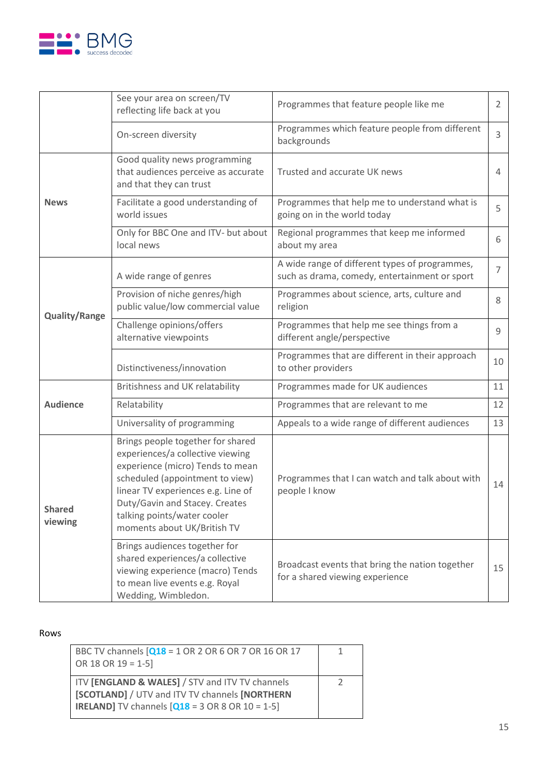

|                          | See your area on screen/TV<br>reflecting life back at you                                                                                                                                                                                                                          | Programmes that feature people like me                                                          | 2              |
|--------------------------|------------------------------------------------------------------------------------------------------------------------------------------------------------------------------------------------------------------------------------------------------------------------------------|-------------------------------------------------------------------------------------------------|----------------|
|                          | On-screen diversity                                                                                                                                                                                                                                                                | Programmes which feature people from different<br>backgrounds                                   | $\overline{3}$ |
| <b>News</b>              | Good quality news programming<br>that audiences perceive as accurate<br>and that they can trust                                                                                                                                                                                    | Trusted and accurate UK news                                                                    | 4              |
|                          | Facilitate a good understanding of<br>world issues                                                                                                                                                                                                                                 | Programmes that help me to understand what is<br>going on in the world today                    | 5              |
|                          | Only for BBC One and ITV- but about<br>local news                                                                                                                                                                                                                                  | Regional programmes that keep me informed<br>about my area                                      | 6              |
|                          | A wide range of genres                                                                                                                                                                                                                                                             | A wide range of different types of programmes,<br>such as drama, comedy, entertainment or sport | $\overline{7}$ |
| <b>Quality/Range</b>     | Provision of niche genres/high<br>public value/low commercial value                                                                                                                                                                                                                | Programmes about science, arts, culture and<br>religion                                         | 8              |
|                          | Challenge opinions/offers<br>alternative viewpoints                                                                                                                                                                                                                                | Programmes that help me see things from a<br>different angle/perspective                        | 9              |
|                          | Distinctiveness/innovation                                                                                                                                                                                                                                                         | Programmes that are different in their approach<br>to other providers                           | 10             |
|                          | Britishness and UK relatability                                                                                                                                                                                                                                                    | Programmes made for UK audiences                                                                | 11             |
| <b>Audience</b>          | Relatability                                                                                                                                                                                                                                                                       | Programmes that are relevant to me                                                              | 12             |
|                          | Universality of programming                                                                                                                                                                                                                                                        | Appeals to a wide range of different audiences                                                  | 13             |
| <b>Shared</b><br>viewing | Brings people together for shared<br>experiences/a collective viewing<br>experience (micro) Tends to mean<br>scheduled (appointment to view)<br>linear TV experiences e.g. Line of<br>Duty/Gavin and Stacey. Creates<br>talking points/water cooler<br>moments about UK/British TV | Programmes that I can watch and talk about with<br>people I know                                | 14             |
|                          | Brings audiences together for<br>shared experiences/a collective<br>viewing experience (macro) Tends<br>to mean live events e.g. Royal<br>Wedding, Wimbledon.                                                                                                                      | Broadcast events that bring the nation together<br>for a shared viewing experience              | 15             |

#### Rows

| BBC TV channels [Q18 = 1 OR 2 OR 6 OR 7 OR 16 OR 17<br>OR 18 OR 19 = 1-5]                                                                                                       |  |
|---------------------------------------------------------------------------------------------------------------------------------------------------------------------------------|--|
| ITV [ENGLAND & WALES] / STV and ITV TV channels<br>[SCOTLAND] / UTV and ITV TV channels [NORTHERN<br><b>IRELAND]</b> TV channels $[Q18 = 3 \text{ OR } 8 \text{ OR } 10 = 1-5]$ |  |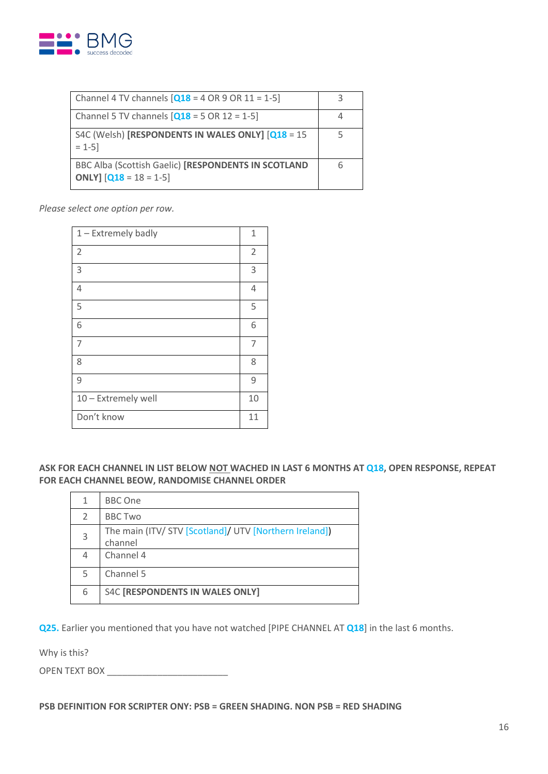

| Channel 4 TV channels $[Q18 = 4 \text{ OR } 9 \text{ OR } 11 = 1-5]$                    |  |
|-----------------------------------------------------------------------------------------|--|
| Channel 5 TV channels $[Q18 = 5 \text{ OR } 12 = 1-5]$                                  |  |
| S4C (Welsh) [RESPONDENTS IN WALES ONLY] [Q18 = 15<br>$= 1 - 5$                          |  |
| BBC Alba (Scottish Gaelic) [RESPONDENTS IN SCOTLAND<br><b>ONLY</b> ] $[Q18 = 18 = 1-5]$ |  |

*Please select one option per row.*

| 1 - Extremely badly | 1              |
|---------------------|----------------|
| $\overline{2}$      | $\overline{2}$ |
| 3                   | 3              |
| $\overline{4}$      | 4              |
| 5                   | 5              |
| 6                   | 6              |
| 7                   | 7              |
| 8                   | 8              |
| 9                   | 9              |
| 10 - Extremely well | 10             |
| Don't know          | 11             |

**ASK FOR EACH CHANNEL IN LIST BELOW NOT WACHED IN LAST 6 MONTHS AT Q18, OPEN RESPONSE, REPEAT FOR EACH CHANNEL BEOW, RANDOMISE CHANNEL ORDER**

|   | <b>BBC One</b>                                                    |
|---|-------------------------------------------------------------------|
| 2 | <b>BBC Two</b>                                                    |
| 3 | The main (ITV/ STV [Scotland]/ UTV [Northern Ireland])<br>channel |
| 4 | Channel 4                                                         |
| 5 | Channel 5                                                         |
| 6 | S4C [RESPONDENTS IN WALES ONLY]                                   |

**Q25.** Earlier you mentioned that you have not watched [PIPE CHANNEL AT **Q18**] in the last 6 months.

Why is this?

OPEN TEXT BOX

**PSB DEFINITION FOR SCRIPTER ONY: PSB = GREEN SHADING. NON PSB = RED SHADING**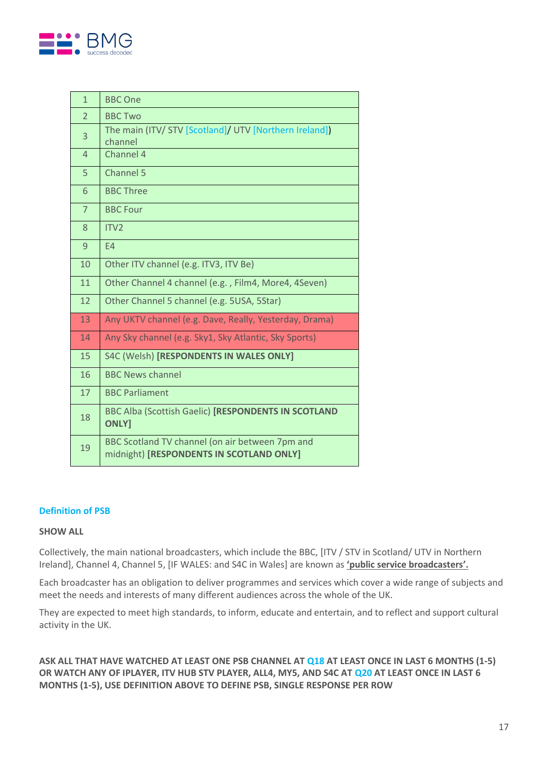

| $\mathbf{1}$   | <b>BBC One</b>                                                                              |
|----------------|---------------------------------------------------------------------------------------------|
| $\overline{2}$ | <b>BBC Two</b>                                                                              |
| 3              | The main (ITV/ STV [Scotland]/ UTV [Northern Ireland])<br>channel                           |
| $\overline{4}$ | Channel 4                                                                                   |
| 5              | Channel 5                                                                                   |
| 6              | <b>BBC Three</b>                                                                            |
| $\overline{7}$ | <b>BBC Four</b>                                                                             |
| 8              | ITV <sub>2</sub>                                                                            |
| 9              | E4                                                                                          |
| 10             | Other ITV channel (e.g. ITV3, ITV Be)                                                       |
| 11             | Other Channel 4 channel (e.g., Film4, More4, 4Seven)                                        |
| 12             | Other Channel 5 channel (e.g. 5USA, 5Star)                                                  |
| 13             | Any UKTV channel (e.g. Dave, Really, Yesterday, Drama)                                      |
| 14             | Any Sky channel (e.g. Sky1, Sky Atlantic, Sky Sports)                                       |
| 15             | S4C (Welsh) [RESPONDENTS IN WALES ONLY]                                                     |
| 16             | <b>BBC News channel</b>                                                                     |
| 17             | <b>BBC Parliament</b>                                                                       |
| 18             | BBC Alba (Scottish Gaelic) [RESPONDENTS IN SCOTLAND<br><b>ONLY]</b>                         |
| 19             | BBC Scotland TV channel (on air between 7pm and<br>midnight) [RESPONDENTS IN SCOTLAND ONLY] |

#### **Definition of PSB**

#### **SHOW ALL**

Collectively, the main national broadcasters, which include the BBC, [ITV / STV in Scotland/ UTV in Northern Ireland], Channel 4, Channel 5, [IF WALES: and S4C in Wales] are known as **'public service broadcasters'.** 

Each broadcaster has an obligation to deliver programmes and services which cover a wide range of subjects and meet the needs and interests of many different audiences across the whole of the UK.

They are expected to meet high standards, to inform, educate and entertain, and to reflect and support cultural activity in the UK.

**ASK ALL THAT HAVE WATCHED AT LEAST ONE PSB CHANNEL AT Q18 AT LEAST ONCE IN LAST 6 MONTHS (1-5) OR WATCH ANY OF IPLAYER, ITV HUB STV PLAYER, ALL4, MY5, AND S4C AT Q20 AT LEAST ONCE IN LAST 6 MONTHS (1-5), USE DEFINITION ABOVE TO DEFINE PSB, SINGLE RESPONSE PER ROW**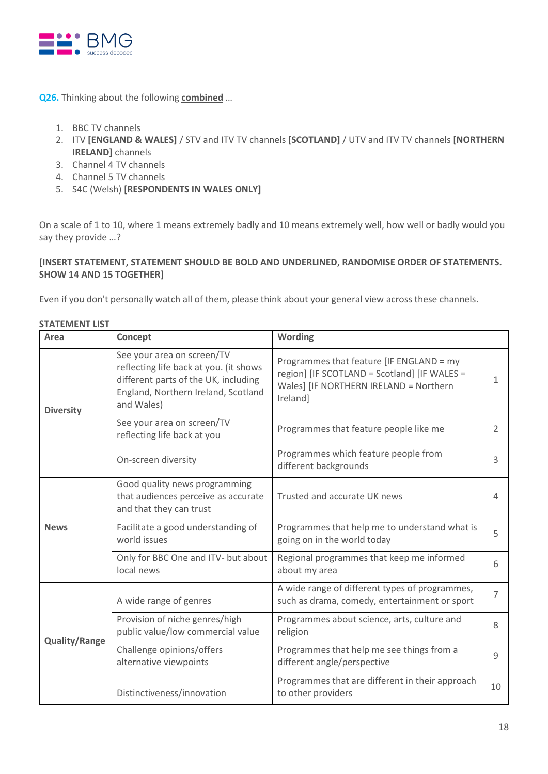

**Q26.** Thinking about the following **combined** …

- 1. BBC TV channels
- 2. ITV **[ENGLAND & WALES]** / STV and ITV TV channels **[SCOTLAND]** / UTV and ITV TV channels **[NORTHERN IRELAND]** channels
- 3. Channel 4 TV channels
- 4. Channel 5 TV channels
- 5. S4C (Welsh) **[RESPONDENTS IN WALES ONLY]**

On a scale of 1 to 10, where 1 means extremely badly and 10 means extremely well, how well or badly would you say they provide …?

## **[INSERT STATEMENT, STATEMENT SHOULD BE BOLD AND UNDERLINED, RANDOMISE ORDER OF STATEMENTS. SHOW 14 AND 15 TOGETHER]**

Even if you don't personally watch all of them, please think about your general view across these channels.

| Area                 | Concept                                                                                                                                                           | <b>Wording</b>                                                                                                                                 |                |
|----------------------|-------------------------------------------------------------------------------------------------------------------------------------------------------------------|------------------------------------------------------------------------------------------------------------------------------------------------|----------------|
| <b>Diversity</b>     | See your area on screen/TV<br>reflecting life back at you. (it shows<br>different parts of the UK, including<br>England, Northern Ireland, Scotland<br>and Wales) | Programmes that feature [IF ENGLAND = my<br>region] [IF SCOTLAND = Scotland] [IF WALES =<br>Wales] [IF NORTHERN IRELAND = Northern<br>Ireland] | 1              |
|                      | See your area on screen/TV<br>reflecting life back at you                                                                                                         | Programmes that feature people like me                                                                                                         | 2              |
|                      | On-screen diversity                                                                                                                                               | Programmes which feature people from<br>different backgrounds                                                                                  | 3              |
|                      | Good quality news programming<br>that audiences perceive as accurate<br>and that they can trust                                                                   | Trusted and accurate UK news                                                                                                                   | $\overline{4}$ |
| <b>News</b>          | Facilitate a good understanding of<br>world issues                                                                                                                | Programmes that help me to understand what is<br>going on in the world today                                                                   | 5              |
|                      | Only for BBC One and ITV- but about<br>local news                                                                                                                 | Regional programmes that keep me informed<br>about my area                                                                                     | 6              |
|                      | A wide range of genres                                                                                                                                            | A wide range of different types of programmes,<br>such as drama, comedy, entertainment or sport                                                | $\overline{7}$ |
| <b>Quality/Range</b> | Provision of niche genres/high<br>public value/low commercial value                                                                                               | Programmes about science, arts, culture and<br>religion                                                                                        | 8              |
|                      | Challenge opinions/offers<br>alternative viewpoints                                                                                                               | Programmes that help me see things from a<br>different angle/perspective                                                                       | 9              |
|                      | Distinctiveness/innovation                                                                                                                                        | Programmes that are different in their approach<br>to other providers                                                                          | 10             |

### **STATEMENT LIST**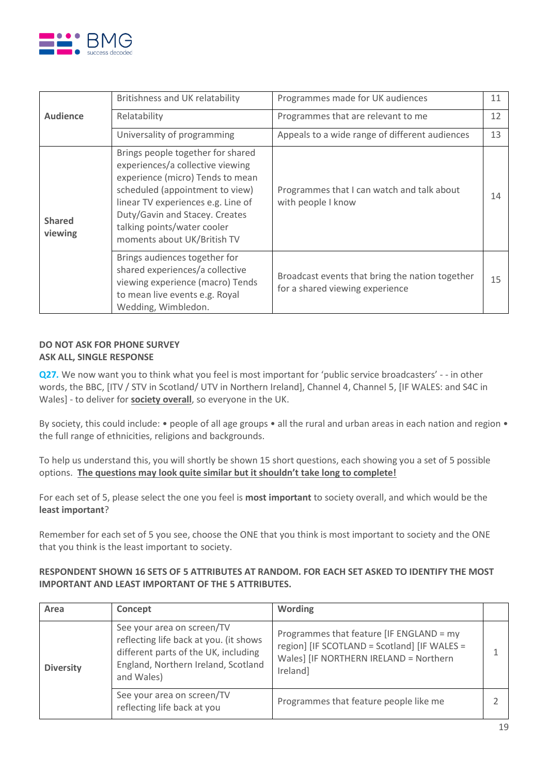

|                          | Britishness and UK relatability                                                                                                                                                                                                                                                    | Programmes made for UK audiences                                                   | 11 |
|--------------------------|------------------------------------------------------------------------------------------------------------------------------------------------------------------------------------------------------------------------------------------------------------------------------------|------------------------------------------------------------------------------------|----|
| <b>Audience</b>          | Relatability                                                                                                                                                                                                                                                                       | Programmes that are relevant to me                                                 | 12 |
|                          | Universality of programming                                                                                                                                                                                                                                                        | Appeals to a wide range of different audiences                                     | 13 |
| <b>Shared</b><br>viewing | Brings people together for shared<br>experiences/a collective viewing<br>experience (micro) Tends to mean<br>scheduled (appointment to view)<br>linear TV experiences e.g. Line of<br>Duty/Gavin and Stacey. Creates<br>talking points/water cooler<br>moments about UK/British TV | Programmes that I can watch and talk about<br>with people I know                   | 14 |
|                          | Brings audiences together for<br>shared experiences/a collective<br>viewing experience (macro) Tends<br>to mean live events e.g. Royal<br>Wedding, Wimbledon.                                                                                                                      | Broadcast events that bring the nation together<br>for a shared viewing experience | 15 |

## **DO NOT ASK FOR PHONE SURVEY ASK ALL, SINGLE RESPONSE**

**Q27**. We now want you to think what you feel is most important for 'public service broadcasters' - - in other words, the BBC, [ITV / STV in Scotland/ UTV in Northern Ireland], Channel 4, Channel 5, [IF WALES: and S4C in Wales] - to deliver for **society overall**, so everyone in the UK.

By society, this could include: • people of all age groups • all the rural and urban areas in each nation and region • the full range of ethnicities, religions and backgrounds.

To help us understand this, you will shortly be shown 15 short questions, each showing you a set of 5 possible options. **The questions may look quite similar but it shouldn't take long to complete!**

For each set of 5, please select the one you feel is **most important** to society overall, and which would be the **least important**?

Remember for each set of 5 you see, choose the ONE that you think is most important to society and the ONE that you think is the least important to society.

## **RESPONDENT SHOWN 16 SETS OF 5 ATTRIBUTES AT RANDOM. FOR EACH SET ASKED TO IDENTIFY THE MOST IMPORTANT AND LEAST IMPORTANT OF THE 5 ATTRIBUTES.**

| Area             | Concept                                                                                                                                                           | <b>Wording</b>                                                                                                                                 |  |
|------------------|-------------------------------------------------------------------------------------------------------------------------------------------------------------------|------------------------------------------------------------------------------------------------------------------------------------------------|--|
| <b>Diversity</b> | See your area on screen/TV<br>reflecting life back at you. (it shows<br>different parts of the UK, including<br>England, Northern Ireland, Scotland<br>and Wales) | Programmes that feature [IF ENGLAND = my<br>region] [IF SCOTLAND = Scotland] [IF WALES =<br>Wales] [IF NORTHERN IRELAND = Northern<br>Ireland] |  |
|                  | See your area on screen/TV<br>reflecting life back at you                                                                                                         | Programmes that feature people like me                                                                                                         |  |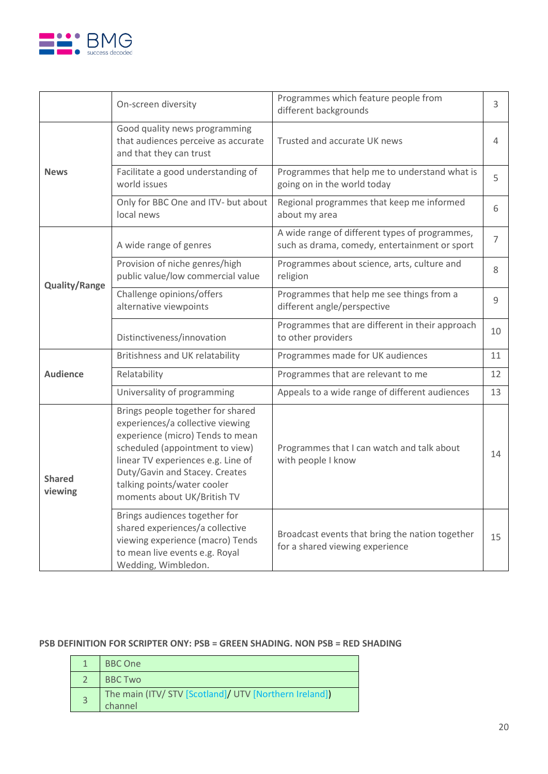

|                          | On-screen diversity                                                                                                                                                                                                                                                                | Programmes which feature people from<br>different backgrounds                                   | 3              |
|--------------------------|------------------------------------------------------------------------------------------------------------------------------------------------------------------------------------------------------------------------------------------------------------------------------------|-------------------------------------------------------------------------------------------------|----------------|
|                          | Good quality news programming<br>that audiences perceive as accurate<br>and that they can trust                                                                                                                                                                                    | Trusted and accurate UK news                                                                    | 4              |
| <b>News</b>              | Facilitate a good understanding of<br>world issues                                                                                                                                                                                                                                 | Programmes that help me to understand what is<br>going on in the world today                    | 5              |
|                          | Only for BBC One and ITV- but about<br>local news                                                                                                                                                                                                                                  | Regional programmes that keep me informed<br>about my area                                      | 6              |
|                          | A wide range of genres                                                                                                                                                                                                                                                             | A wide range of different types of programmes,<br>such as drama, comedy, entertainment or sport | $\overline{7}$ |
| <b>Quality/Range</b>     | Provision of niche genres/high<br>public value/low commercial value                                                                                                                                                                                                                | Programmes about science, arts, culture and<br>religion                                         | 8              |
|                          | Challenge opinions/offers<br>alternative viewpoints                                                                                                                                                                                                                                | Programmes that help me see things from a<br>different angle/perspective                        | 9              |
|                          | Distinctiveness/innovation                                                                                                                                                                                                                                                         | Programmes that are different in their approach<br>to other providers                           | 10             |
|                          | Britishness and UK relatability                                                                                                                                                                                                                                                    | Programmes made for UK audiences                                                                | 11             |
| <b>Audience</b>          | Relatability                                                                                                                                                                                                                                                                       | Programmes that are relevant to me                                                              | 12             |
|                          | Universality of programming                                                                                                                                                                                                                                                        | Appeals to a wide range of different audiences                                                  | 13             |
| <b>Shared</b><br>viewing | Brings people together for shared<br>experiences/a collective viewing<br>experience (micro) Tends to mean<br>scheduled (appointment to view)<br>linear TV experiences e.g. Line of<br>Duty/Gavin and Stacey. Creates<br>talking points/water cooler<br>moments about UK/British TV | Programmes that I can watch and talk about<br>with people I know                                | 14             |
|                          | Brings audiences together for<br>shared experiences/a collective<br>viewing experience (macro) Tends<br>to mean live events e.g. Royal<br>Wedding, Wimbledon.                                                                                                                      | Broadcast events that bring the nation together<br>for a shared viewing experience              | 15             |

## **PSB DEFINITION FOR SCRIPTER ONY: PSB = GREEN SHADING. NON PSB = RED SHADING**

| BBC One                                                           |
|-------------------------------------------------------------------|
| <b>BBC Two</b>                                                    |
| The main (ITV/ STV [Scotland]/ UTV [Northern Ireland]]<br>channel |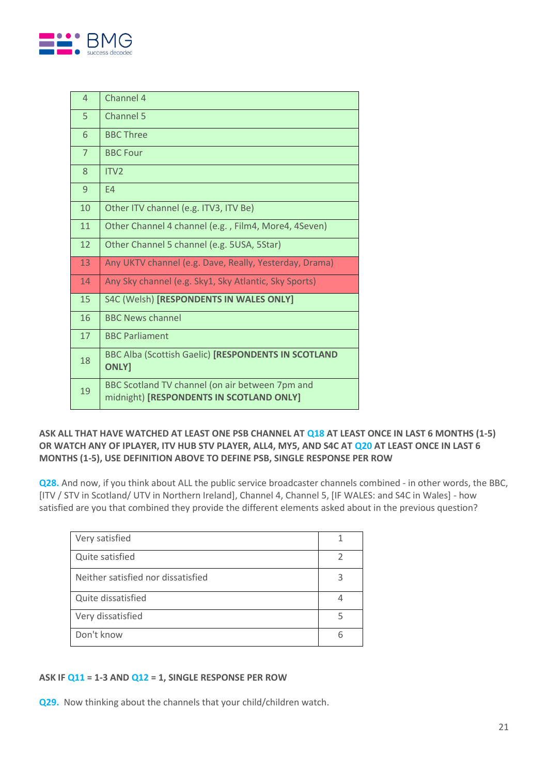

| $\overline{4}$ | Channel 4                                                                                   |
|----------------|---------------------------------------------------------------------------------------------|
| 5              | Channel 5                                                                                   |
| 6              | <b>BBC Three</b>                                                                            |
| $\overline{7}$ | <b>BBC Four</b>                                                                             |
| 8              | ITV <sub>2</sub>                                                                            |
| 9              | F <sub>4</sub>                                                                              |
| 10             | Other ITV channel (e.g. ITV3, ITV Be)                                                       |
| 11             | Other Channel 4 channel (e.g., Film4, More4, 4Seven)                                        |
| 12             | Other Channel 5 channel (e.g. 5USA, 5Star)                                                  |
| 13             | Any UKTV channel (e.g. Dave, Really, Yesterday, Drama)                                      |
| 14             | Any Sky channel (e.g. Sky1, Sky Atlantic, Sky Sports)                                       |
| 15             | S4C (Welsh) [RESPONDENTS IN WALES ONLY]                                                     |
| 16             | <b>BBC News channel</b>                                                                     |
| 17             | <b>BBC Parliament</b>                                                                       |
| 18             | BBC Alba (Scottish Gaelic) [RESPONDENTS IN SCOTLAND<br><b>ONLY]</b>                         |
| 19             | BBC Scotland TV channel (on air between 7pm and<br>midnight) [RESPONDENTS IN SCOTLAND ONLY] |

## **ASK ALL THAT HAVE WATCHED AT LEAST ONE PSB CHANNEL AT Q18 AT LEAST ONCE IN LAST 6 MONTHS (1-5) OR WATCH ANY OF IPLAYER, ITV HUB STV PLAYER, ALL4, MY5, AND S4C AT Q20 AT LEAST ONCE IN LAST 6 MONTHS (1-5), USE DEFINITION ABOVE TO DEFINE PSB, SINGLE RESPONSE PER ROW**

**Q28.** And now, if you think about ALL the public service broadcaster channels combined - in other words, the BBC, [ITV / STV in Scotland/ UTV in Northern Ireland], Channel 4, Channel 5, [IF WALES: and S4C in Wales] - how satisfied are you that combined they provide the different elements asked about in the previous question?

| Very satisfied                     |  |
|------------------------------------|--|
| Quite satisfied                    |  |
| Neither satisfied nor dissatisfied |  |
| Quite dissatisfied                 |  |
| Very dissatisfied                  |  |
| Don't know                         |  |

## **ASK IF Q11 = 1-3 AND Q12 = 1, SINGLE RESPONSE PER ROW**

**Q29.** Now thinking about the channels that your child/children watch.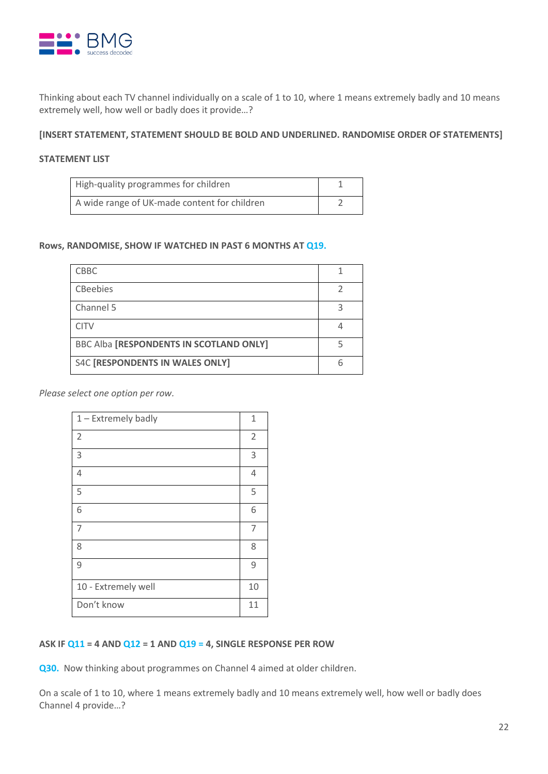

Thinking about each TV channel individually on a scale of 1 to 10, where 1 means extremely badly and 10 means extremely well, how well or badly does it provide…?

**[INSERT STATEMENT, STATEMENT SHOULD BE BOLD AND UNDERLINED. RANDOMISE ORDER OF STATEMENTS]**

### **STATEMENT LIST**

| High-quality programmes for children         |  |
|----------------------------------------------|--|
| A wide range of UK-made content for children |  |

#### **Rows, RANDOMISE, SHOW IF WATCHED IN PAST 6 MONTHS AT Q19.**

| <b>CBBC</b>                                    |  |
|------------------------------------------------|--|
| <b>CBeebies</b>                                |  |
| Channel 5                                      |  |
| <b>CITV</b>                                    |  |
| <b>BBC Alba [RESPONDENTS IN SCOTLAND ONLY]</b> |  |
| <b>S4C [RESPONDENTS IN WALES ONLY]</b>         |  |

*Please select one option per row.*

| $1 -$ Extremely badly | 1              |
|-----------------------|----------------|
| $\overline{2}$        | $\overline{2}$ |
| 3                     | 3              |
| $\overline{4}$        | 4              |
| 5                     | 5              |
| 6                     | 6              |
| $\overline{7}$        | 7              |
| 8                     | 8              |
| 9                     | 9              |
| 10 - Extremely well   | 10             |
| Don't know            | 11             |

#### **ASK IF Q11 = 4 AND Q12 = 1 AND Q19 = 4, SINGLE RESPONSE PER ROW**

**Q30.** Now thinking about programmes on Channel 4 aimed at older children.

On a scale of 1 to 10, where 1 means extremely badly and 10 means extremely well, how well or badly does Channel 4 provide…?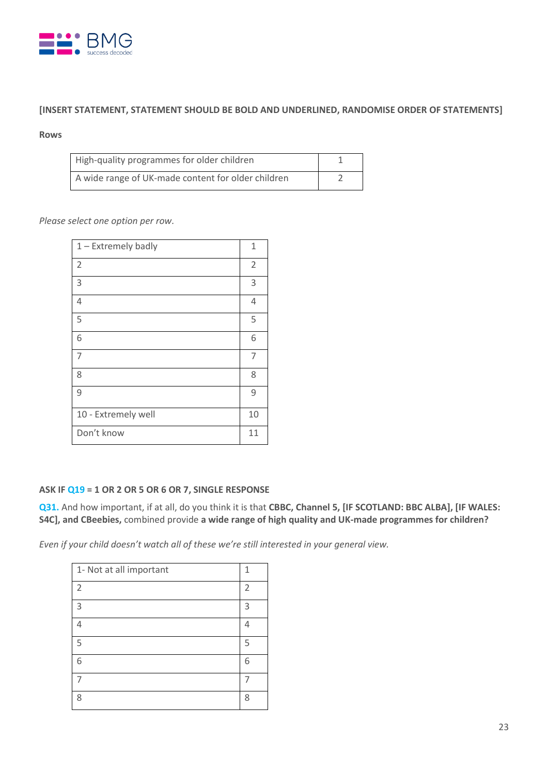

## **[INSERT STATEMENT, STATEMENT SHOULD BE BOLD AND UNDERLINED, RANDOMISE ORDER OF STATEMENTS]**

#### **Rows**

| High-quality programmes for older children         |  |
|----------------------------------------------------|--|
| A wide range of UK-made content for older children |  |

*Please select one option per row.*

| $1 -$ Extremely badly | 1              |
|-----------------------|----------------|
| $\overline{2}$        | $\overline{2}$ |
| 3                     | 3              |
| $\overline{4}$        | 4              |
| 5                     | 5              |
| 6                     | 6              |
| 7                     | 7              |
| 8                     | 8              |
| 9                     | 9              |
| 10 - Extremely well   | 10             |
| Don't know            | 11             |

### **ASK IF Q19 = 1 OR 2 OR 5 OR 6 OR 7, SINGLE RESPONSE**

**Q31.** And how important, if at all, do you think it is that **CBBC, Channel 5, [IF SCOTLAND: BBC ALBA], [IF WALES: S4C], and CBeebies,** combined provide **a wide range of high quality and UK-made programmes for children?**

*Even if your child doesn't watch all of these we're still interested in your general view.*

| 1- Not at all important | 1              |
|-------------------------|----------------|
| $\overline{2}$          | $\overline{2}$ |
| 3                       | 3              |
| л                       | Δ              |
| 5                       | 5              |
| 6                       | 6              |
|                         |                |
| 8                       | 8              |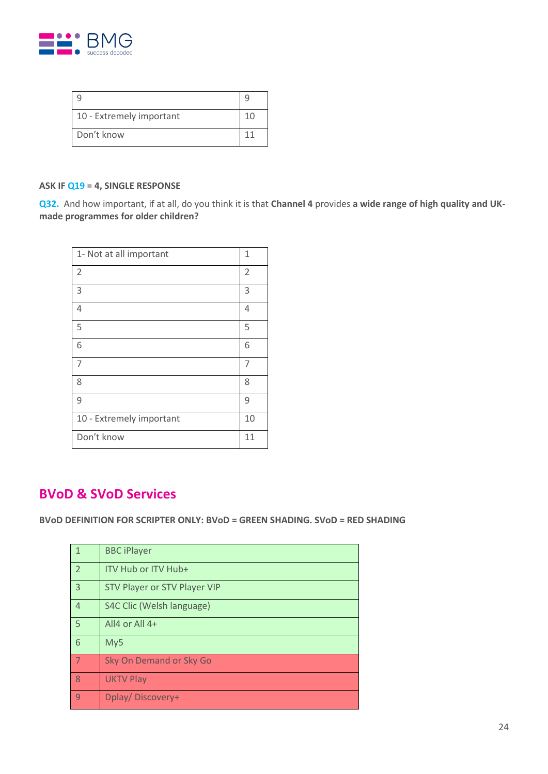

| 10 - Extremely important | 1 <sub>0</sub> |
|--------------------------|----------------|
| Don't know               |                |

## **ASK IF Q19 = 4, SINGLE RESPONSE**

**Q32.** And how important, if at all, do you think it is that **Channel 4** provides **a wide range of high quality and UKmade programmes for older children?**

| 1- Not at all important  | 1              |
|--------------------------|----------------|
| $\overline{2}$           | $\overline{2}$ |
| 3                        | 3              |
| $\overline{4}$           | 4              |
| 5                        | 5              |
| 6                        | 6              |
| 7                        | 7              |
| 8                        | 8              |
| 9                        | 9              |
| 10 - Extremely important | 10             |
| Don't know               | 11             |

## **BVoD & SVoD Services**

**BVoD DEFINITION FOR SCRIPTER ONLY: BVoD = GREEN SHADING. SVoD = RED SHADING**

| 1              | <b>BBC iPlayer</b>           |
|----------------|------------------------------|
| $\overline{2}$ | ITV Hub or ITV Hub+          |
| $\overline{3}$ | STV Player or STV Player VIP |
| $\overline{4}$ | S4C Clic (Welsh language)    |
| 5              | All4 or All 4+               |
| 6              | My5                          |
| 7              | Sky On Demand or Sky Go      |
| 8              | <b>UKTV Play</b>             |
| 9              | Dplay/Discovery+             |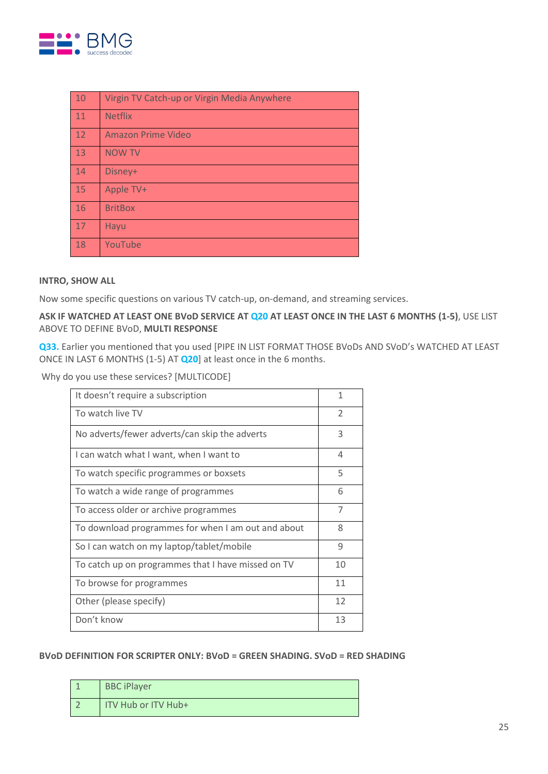

| 10 | Virgin TV Catch-up or Virgin Media Anywhere |
|----|---------------------------------------------|
| 11 | <b>Netflix</b>                              |
| 12 | <b>Amazon Prime Video</b>                   |
| 13 | <b>NOW TV</b>                               |
| 14 | Disney+                                     |
| 15 | Apple TV+                                   |
| 16 | <b>BritBox</b>                              |
| 17 | Hayu                                        |
| 18 | YouTube                                     |

#### **INTRO, SHOW ALL**

Now some specific questions on various TV catch-up, on-demand, and streaming services.

## **ASK IF WATCHED AT LEAST ONE BVoD SERVICE AT Q20 AT LEAST ONCE IN THE LAST 6 MONTHS (1-5)**, USE LIST ABOVE TO DEFINE BVoD, **MULTI RESPONSE**

**Q33.** Earlier you mentioned that you used [PIPE IN LIST FORMAT THOSE BVoDs AND SVoD's WATCHED AT LEAST ONCE IN LAST 6 MONTHS (1-5) AT **Q20**] at least once in the 6 months.

Why do you use these services? [MULTICODE]

| It doesn't require a subscription                  | $\mathbf{1}$             |
|----------------------------------------------------|--------------------------|
| To watch live TV                                   | $\overline{\phantom{a}}$ |
| No adverts/fewer adverts/can skip the adverts      | 3                        |
| I can watch what I want, when I want to            | 4                        |
| To watch specific programmes or boxsets            | 5                        |
| To watch a wide range of programmes                | 6                        |
| To access older or archive programmes              | 7                        |
| To download programmes for when I am out and about | 8                        |
| So I can watch on my laptop/tablet/mobile          | 9                        |
| To catch up on programmes that I have missed on TV | 10                       |
| To browse for programmes                           | 11                       |
| Other (please specify)                             | 12                       |
| Don't know                                         | 13                       |

#### **BVoD DEFINITION FOR SCRIPTER ONLY: BVoD = GREEN SHADING. SVoD = RED SHADING**

| <b>BBC iPlayer</b>    |
|-----------------------|
| I ITV Hub or ITV Hub+ |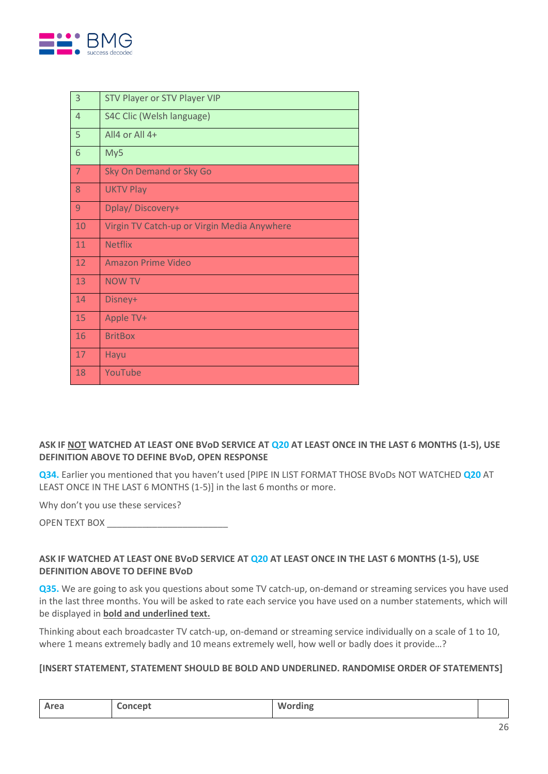

| $\overline{3}$ | STV Player or STV Player VIP                |
|----------------|---------------------------------------------|
| $\overline{4}$ | S4C Clic (Welsh language)                   |
| 5              | All $4$ or All $4+$                         |
| 6              | My5                                         |
| 7              | Sky On Demand or Sky Go                     |
| 8              | <b>UKTV Play</b>                            |
| 9              | Dplay/Discovery+                            |
| 10             | Virgin TV Catch-up or Virgin Media Anywhere |
| 11             | <b>Netflix</b>                              |
| 12             | Amazon Prime Video                          |
| 13             | <b>NOW TV</b>                               |
| 14             | Disney+                                     |
| 15             | Apple TV+                                   |
| 16             | <b>BritBox</b>                              |
| 17             | Hayu                                        |
| 18             | YouTube                                     |

## **ASK IF NOT WATCHED AT LEAST ONE BVoD SERVICE AT Q20 AT LEAST ONCE IN THE LAST 6 MONTHS (1-5), USE DEFINITION ABOVE TO DEFINE BVoD, OPEN RESPONSE**

**Q34.** Earlier you mentioned that you haven't used [PIPE IN LIST FORMAT THOSE BVoDs NOT WATCHED **Q20** AT LEAST ONCE IN THE LAST 6 MONTHS (1-5)] in the last 6 months or more.

Why don't you use these services?

OPEN TEXT BOX \_\_\_\_\_\_\_\_\_\_\_\_\_\_\_\_\_\_\_\_\_\_\_\_

## **ASK IF WATCHED AT LEAST ONE BVoD SERVICE AT Q20 AT LEAST ONCE IN THE LAST 6 MONTHS (1-5), USE DEFINITION ABOVE TO DEFINE BVoD**

**Q35.** We are going to ask you questions about some TV catch-up, on-demand or streaming services you have used in the last three months. You will be asked to rate each service you have used on a number statements, which will be displayed in **bold and underlined text.**

Thinking about each broadcaster TV catch-up, on-demand or streaming service individually on a scale of 1 to 10, where 1 means extremely badly and 10 means extremely well, how well or badly does it provide...?

### **[INSERT STATEMENT, STATEMENT SHOULD BE BOLD AND UNDERLINED. RANDOMISE ORDER OF STATEMENTS]**

| Area | Concept | <b>Wording</b> |  |
|------|---------|----------------|--|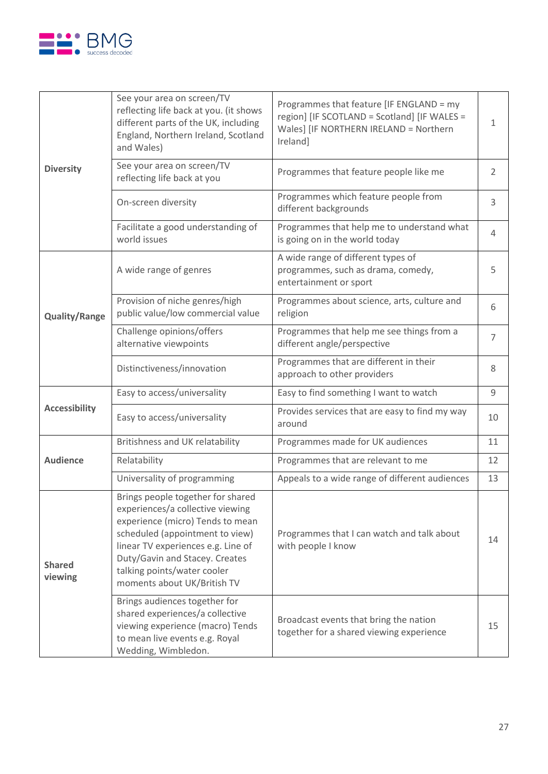

|                          | See your area on screen/TV<br>reflecting life back at you. (it shows<br>different parts of the UK, including<br>England, Northern Ireland, Scotland<br>and Wales)                                                                                                                  | Programmes that feature [IF ENGLAND = my<br>region] [IF SCOTLAND = Scotland] [IF WALES =<br>Wales] [IF NORTHERN IRELAND = Northern<br>Ireland] | 1              |
|--------------------------|------------------------------------------------------------------------------------------------------------------------------------------------------------------------------------------------------------------------------------------------------------------------------------|------------------------------------------------------------------------------------------------------------------------------------------------|----------------|
| <b>Diversity</b>         | See your area on screen/TV<br>reflecting life back at you                                                                                                                                                                                                                          | Programmes that feature people like me                                                                                                         | 2              |
|                          | On-screen diversity                                                                                                                                                                                                                                                                | Programmes which feature people from<br>different backgrounds                                                                                  | 3              |
|                          | Facilitate a good understanding of<br>world issues                                                                                                                                                                                                                                 | Programmes that help me to understand what<br>is going on in the world today                                                                   | $\overline{4}$ |
|                          | A wide range of genres                                                                                                                                                                                                                                                             | A wide range of different types of<br>programmes, such as drama, comedy,<br>entertainment or sport                                             | 5              |
| <b>Quality/Range</b>     | Provision of niche genres/high<br>public value/low commercial value                                                                                                                                                                                                                | Programmes about science, arts, culture and<br>religion                                                                                        | 6              |
|                          | Challenge opinions/offers<br>alternative viewpoints                                                                                                                                                                                                                                | Programmes that help me see things from a<br>different angle/perspective                                                                       | $\overline{7}$ |
|                          | Distinctiveness/innovation                                                                                                                                                                                                                                                         | Programmes that are different in their<br>approach to other providers                                                                          | 8              |
|                          | Easy to access/universality                                                                                                                                                                                                                                                        | Easy to find something I want to watch                                                                                                         | 9              |
| <b>Accessibility</b>     | Easy to access/universality                                                                                                                                                                                                                                                        | Provides services that are easy to find my way<br>around                                                                                       | 10             |
|                          | Britishness and UK relatability                                                                                                                                                                                                                                                    | Programmes made for UK audiences                                                                                                               | 11             |
| <b>Audience</b>          | Relatability                                                                                                                                                                                                                                                                       | Programmes that are relevant to me                                                                                                             | 12             |
|                          | Universality of programming                                                                                                                                                                                                                                                        | Appeals to a wide range of different audiences                                                                                                 | 13             |
| <b>Shared</b><br>viewing | Brings people together for shared<br>experiences/a collective viewing<br>experience (micro) Tends to mean<br>scheduled (appointment to view)<br>linear TV experiences e.g. Line of<br>Duty/Gavin and Stacey. Creates<br>talking points/water cooler<br>moments about UK/British TV | Programmes that I can watch and talk about<br>with people I know                                                                               |                |
|                          | Brings audiences together for<br>shared experiences/a collective<br>viewing experience (macro) Tends<br>to mean live events e.g. Royal<br>Wedding, Wimbledon.                                                                                                                      | Broadcast events that bring the nation<br>together for a shared viewing experience                                                             | 15             |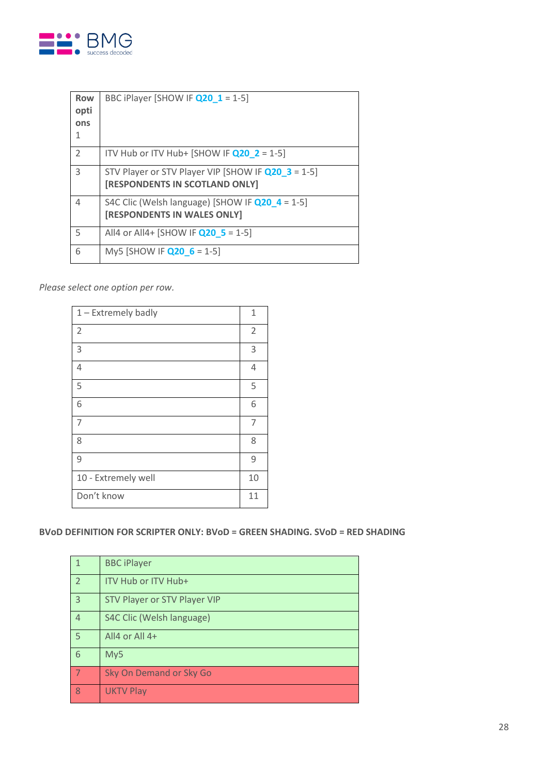

| <b>Row</b><br>opti<br>ons | BBC iPlayer [SHOW IF Q20_1 = 1-5]                                                       |
|---------------------------|-----------------------------------------------------------------------------------------|
| $\overline{\phantom{a}}$  | ITV Hub or ITV Hub+ [SHOW IF $Q20$ 2 = 1-5]                                             |
| 3                         | STV Player or STV Player VIP [SHOW IF Q20 3 = 1-5]<br>[RESPONDENTS IN SCOTLAND ONLY]    |
| 4                         | S4C Clic (Welsh language) [SHOW IF $Q20$ 4 = 1-5]<br><b>[RESPONDENTS IN WALES ONLY]</b> |
| 5                         | All4 or All4+ [SHOW IF $Q20$ 5 = 1-5]                                                   |
| 6                         | My5 [SHOW IF $Q20$ 6 = 1-5]                                                             |

*Please select one option per row.*

| 1 - Extremely badly | 1              |
|---------------------|----------------|
| $\overline{2}$      | $\overline{2}$ |
| 3                   | 3              |
| $\overline{4}$      | 4              |
| 5                   | 5              |
| 6                   | 6              |
| 7                   | 7              |
| 8                   | 8              |
| 9                   | 9              |
| 10 - Extremely well | 10             |
| Don't know          | 11             |

## **BVoD DEFINITION FOR SCRIPTER ONLY: BVoD = GREEN SHADING. SVoD = RED SHADING**

| $\mathbf{1}$             | <b>BBC iPlayer</b>           |
|--------------------------|------------------------------|
| $\overline{\phantom{a}}$ | <b>ITV Hub or ITV Hub+</b>   |
| 3                        | STV Player or STV Player VIP |
| $\overline{4}$           | S4C Clic (Welsh language)    |
| 5                        | All4 or All 4+               |
| 6                        | My5                          |
| $\boldsymbol{\tau}$      | Sky On Demand or Sky Go      |
| 8                        | <b>UKTV Play</b>             |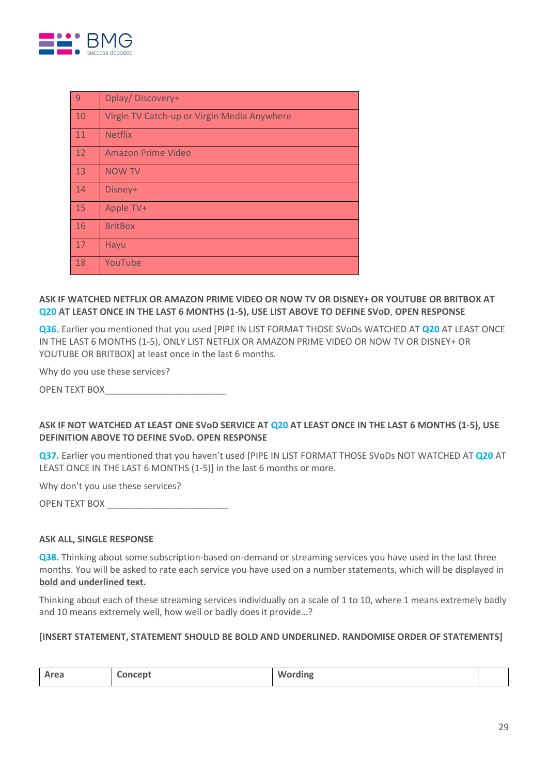

| $\overline{9}$ | Dplay/Discovery+                            |
|----------------|---------------------------------------------|
| 10             | Virgin TV Catch-up or Virgin Media Anywhere |
| 11             | <b>Netflix</b>                              |
| 12             | <b>Amazon Prime Video</b>                   |
| 13             | <b>NOW TV</b>                               |
| 14             | Disney+                                     |
| 15             | Apple TV+                                   |
| 16             | <b>BritBox</b>                              |
| 17             | Hayu                                        |
| 18             | YouTube                                     |

## **ASK IF WATCHED NETFLIX OR AMAZON PRIME VIDEO OR NOW TV OR DISNEY+ OR YOUTUBE OR BRITBOX AT Q20 AT LEAST ONCE IN THE LAST 6 MONTHS (1-5), USE LIST ABOVE TO DEFINE SVoD**, **OPEN RESPONSE**

**Q36.** Earlier you mentioned that you used [PIPE IN LIST FORMAT THOSE SVoDs WATCHED AT **Q20** AT LEAST ONCE IN THE LAST 6 MONTHS (1-5), ONLY LIST NETFLIX OR AMAZON PRIME VIDEO OR NOW TV OR DISNEY+ OR YOUTUBE OR BRITBOXI at least once in the last 6 months.

Why do you use these services?

OPEN TEXT BOX\_\_\_\_\_\_\_\_\_\_\_\_\_\_\_\_\_\_\_\_\_\_\_\_

## **ASK IF NOT WATCHED AT LEAST ONE SVoD SERVICE AT Q20 AT LEAST ONCE IN THE LAST 6 MONTHS (1-5), USE DEFINITION ABOVE TO DEFINE SVoD. OPEN RESPONSE**

**Q37.** Earlier you mentioned that you haven't used [PIPE IN LIST FORMAT THOSE SVoDs NOT WATCHED AT **Q20** AT LEAST ONCE IN THE LAST 6 MONTHS (1-5)] in the last 6 months or more.

Why don't you use these services?

OPEN TEXT BOX \_\_\_\_\_\_\_

#### **ASK ALL, SINGLE RESPONSE**

**Q38.** Thinking about some subscription-based on-demand or streaming services you have used in the last three months. You will be asked to rate each service you have used on a number statements, which will be displayed in **bold and underlined text.**

Thinking about each of these streaming services individually on a scale of 1 to 10, where 1 means extremely badly and 10 means extremely well, how well or badly does it provide…?

#### **[INSERT STATEMENT, STATEMENT SHOULD BE BOLD AND UNDERLINED. RANDOMISE ORDER OF STATEMENTS]**

| Area | Concept | Wording |  |
|------|---------|---------|--|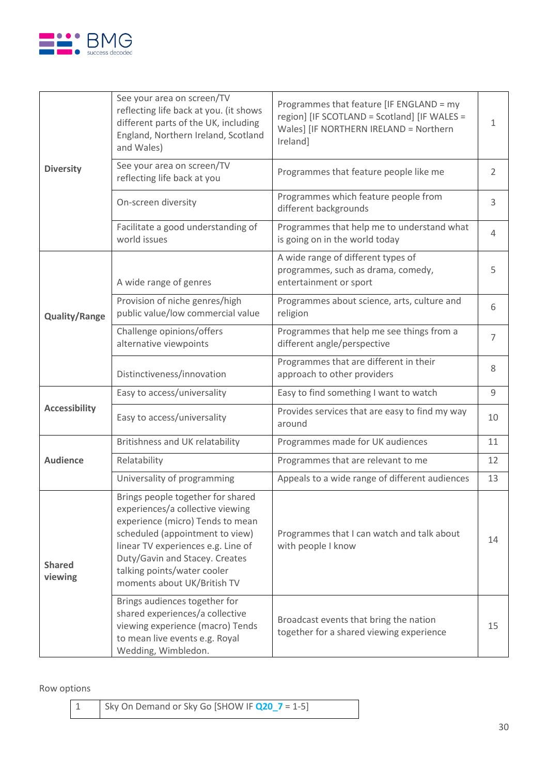

|                          | See your area on screen/TV<br>reflecting life back at you. (it shows<br>different parts of the UK, including<br>England, Northern Ireland, Scotland<br>and Wales)                                                                                                                  | Programmes that feature [IF ENGLAND = my<br>region] [IF SCOTLAND = Scotland] [IF WALES =<br>Wales] [IF NORTHERN IRELAND = Northern<br>Ireland] | $\mathbf{1}$   |
|--------------------------|------------------------------------------------------------------------------------------------------------------------------------------------------------------------------------------------------------------------------------------------------------------------------------|------------------------------------------------------------------------------------------------------------------------------------------------|----------------|
| <b>Diversity</b>         | See your area on screen/TV<br>reflecting life back at you                                                                                                                                                                                                                          | Programmes that feature people like me                                                                                                         | 2              |
|                          | On-screen diversity                                                                                                                                                                                                                                                                | Programmes which feature people from<br>different backgrounds                                                                                  | 3              |
|                          | Facilitate a good understanding of<br>world issues                                                                                                                                                                                                                                 | Programmes that help me to understand what<br>is going on in the world today                                                                   | $\overline{4}$ |
|                          | A wide range of genres                                                                                                                                                                                                                                                             | A wide range of different types of<br>programmes, such as drama, comedy,<br>entertainment or sport                                             | 5              |
| <b>Quality/Range</b>     | Provision of niche genres/high<br>public value/low commercial value                                                                                                                                                                                                                | Programmes about science, arts, culture and<br>religion                                                                                        | 6              |
|                          | Challenge opinions/offers<br>alternative viewpoints                                                                                                                                                                                                                                | Programmes that help me see things from a<br>different angle/perspective                                                                       | $\overline{7}$ |
|                          | Distinctiveness/innovation                                                                                                                                                                                                                                                         | Programmes that are different in their<br>approach to other providers                                                                          | 8              |
|                          | Easy to access/universality                                                                                                                                                                                                                                                        | Easy to find something I want to watch                                                                                                         | 9              |
| <b>Accessibility</b>     | Easy to access/universality                                                                                                                                                                                                                                                        | Provides services that are easy to find my way<br>around                                                                                       | 10             |
|                          | Britishness and UK relatability                                                                                                                                                                                                                                                    | Programmes made for UK audiences                                                                                                               | 11             |
| <b>Audience</b>          | Relatability                                                                                                                                                                                                                                                                       | Programmes that are relevant to me                                                                                                             | 12             |
|                          | Universality of programming                                                                                                                                                                                                                                                        | Appeals to a wide range of different audiences                                                                                                 | 13             |
| <b>Shared</b><br>viewing | Brings people together for shared<br>experiences/a collective viewing<br>experience (micro) Tends to mean<br>scheduled (appointment to view)<br>linear TV experiences e.g. Line of<br>Duty/Gavin and Stacey. Creates<br>talking points/water cooler<br>moments about UK/British TV | Programmes that I can watch and talk about<br>with people I know                                                                               |                |
|                          | Brings audiences together for<br>shared experiences/a collective<br>viewing experience (macro) Tends<br>to mean live events e.g. Royal<br>Wedding, Wimbledon.                                                                                                                      | Broadcast events that bring the nation<br>together for a shared viewing experience                                                             | 15             |

Row options

| Sky On Demand or Sky Go [SHOW IF Q20_7 = 1-5] |  |
|-----------------------------------------------|--|
|-----------------------------------------------|--|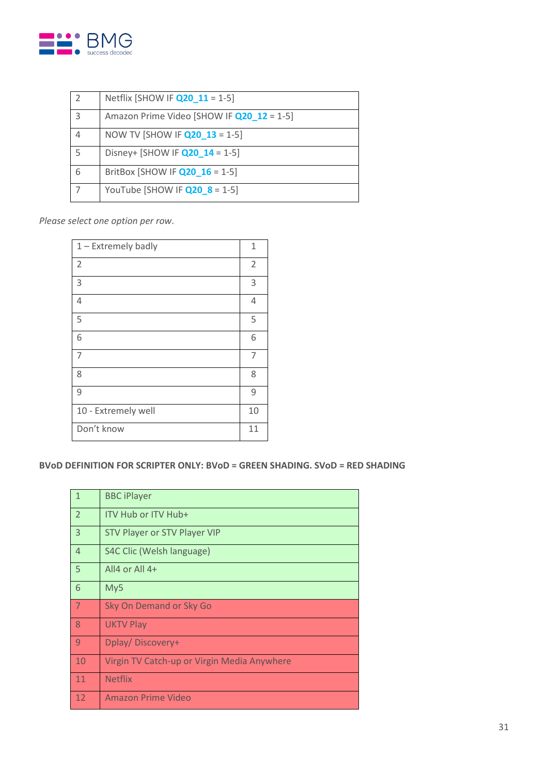

|   | Netflix [SHOW IF <b>Q20 11</b> = 1-5]     |
|---|-------------------------------------------|
| 3 | Amazon Prime Video [SHOW IF Q20_12 = 1-5] |
|   | NOW TV [SHOW IF <b>Q20 13</b> = 1-5]      |
|   | Disney+ [SHOW IF $Q20$ 14 = 1-5]          |
| 6 | BritBox [SHOW IF <b>Q20 16</b> = 1-5]     |
|   | YouTube [SHOW IF $Q20$ 8 = 1-5]           |

*Please select one option per row.*

| 1 - Extremely badly | 1              |
|---------------------|----------------|
| $\overline{2}$      | $\overline{2}$ |
| 3                   | 3              |
| $\overline{4}$      | 4              |
| 5                   | 5              |
| 6                   | 6              |
| 7                   | 7              |
| 8                   | 8              |
| 9                   | 9              |
| 10 - Extremely well | 10             |
| Don't know          | 11             |

**BVoD DEFINITION FOR SCRIPTER ONLY: BVoD = GREEN SHADING. SVoD = RED SHADING**

| $\overline{1}$ | <b>BBC iPlayer</b>                          |
|----------------|---------------------------------------------|
| $\overline{2}$ | ITV Hub or ITV Hub+                         |
| $\overline{3}$ | STV Player or STV Player VIP                |
| $\overline{4}$ | S4C Clic (Welsh language)                   |
| -5             | All4 or All 4+                              |
| 6              | My5                                         |
| -7             | Sky On Demand or Sky Go                     |
| 8              | <b>UKTV Play</b>                            |
| $\overline{9}$ | Dplay/Discovery+                            |
| 10             |                                             |
|                | Virgin TV Catch-up or Virgin Media Anywhere |
| 11             | <b>Netflix</b>                              |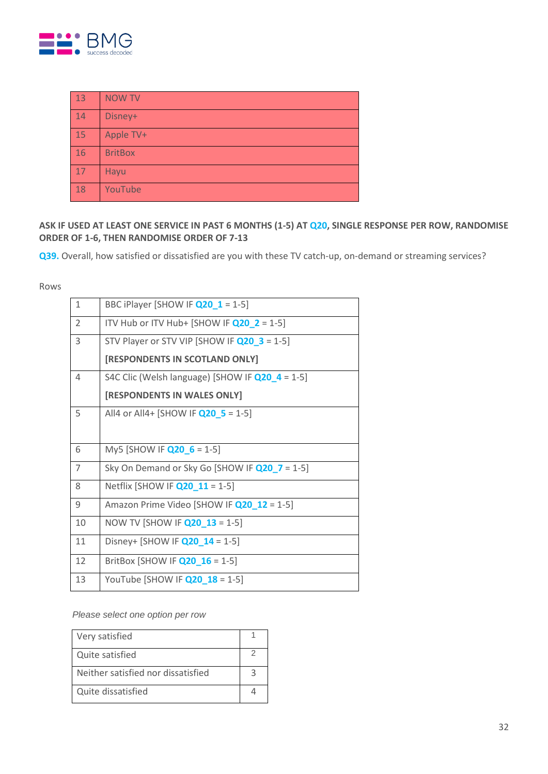

| 13 | <b>NOW TV</b>  |
|----|----------------|
| 14 | Disney+        |
| 15 | Apple TV+      |
| 16 | <b>BritBox</b> |
| 17 | <b>Hayu</b>    |
| 18 | YouTube        |

**ASK IF USED AT LEAST ONE SERVICE IN PAST 6 MONTHS (1-5) AT Q20, SINGLE RESPONSE PER ROW, RANDOMISE ORDER OF 1-6, THEN RANDOMISE ORDER OF 7-13**

**Q39.** Overall, how satisfied or dissatisfied are you with these TV catch-up, on-demand or streaming services?

#### Rows

| 1              | BBC iPlayer [SHOW IF Q20_1 = 1-5]                  |
|----------------|----------------------------------------------------|
| $\overline{2}$ | ITV Hub or ITV Hub+ [SHOW IF $Q20$ 2 = 1-5]        |
| 3              | STV Player or STV VIP [SHOW IF $Q20$ 3 = 1-5]      |
|                | [RESPONDENTS IN SCOTLAND ONLY]                     |
| 4              | S4C Clic (Welsh language) [SHOW IF $Q20$ 4 = 1-5]  |
|                | [RESPONDENTS IN WALES ONLY]                        |
| 5              | All4 or All4+ [SHOW IF $Q20$ 5 = 1-5]              |
|                |                                                    |
| 6              | My5 [SHOW IF $Q20$ 6 = 1-5]                        |
| $\overline{7}$ | Sky On Demand or Sky Go [SHOW IF $Q20$ $7 = 1-5$ ] |
| 8              | Netflix [SHOW IF <b>Q20 11</b> = 1-5]              |
| 9              | Amazon Prime Video [SHOW IF Q20 12 = 1-5]          |
| 10             | NOW TV [SHOW IF <b>Q20 13</b> = 1-5]               |
| 11             | Disney+ [SHOW IF $Q20$ 14 = 1-5]                   |
| 12             | BritBox [SHOW IF $Q20$ 16 = 1-5]                   |
| 13             | YouTube [SHOW IF <b>Q20_18</b> = 1-5]              |

*Please select one option per row*

| Very satisfied                     |  |
|------------------------------------|--|
| Quite satisfied                    |  |
| Neither satisfied nor dissatisfied |  |
| Quite dissatisfied                 |  |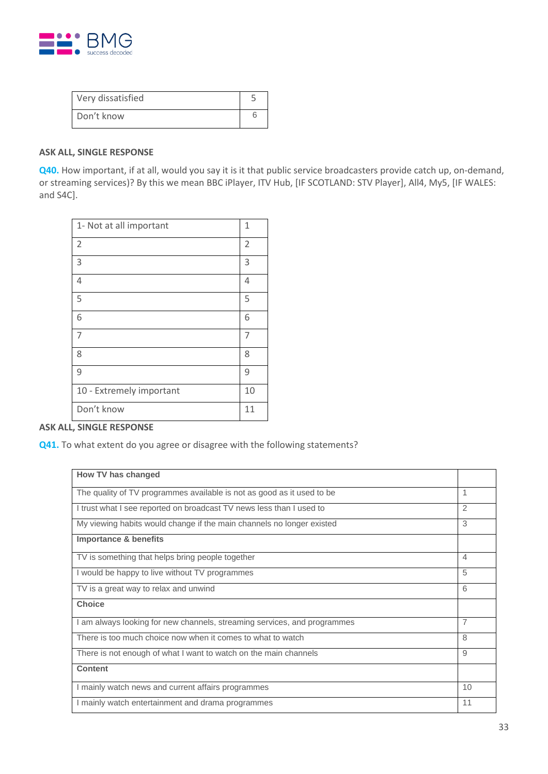

| Very dissatisfied |  |
|-------------------|--|
| Don't know        |  |

#### **ASK ALL, SINGLE RESPONSE**

**Q40.** How important, if at all, would you say it is it that public service broadcasters provide catch up, on-demand, or streaming services)? By this we mean BBC iPlayer, ITV Hub, [IF SCOTLAND: STV Player], All4, My5, [IF WALES: and S4C].

| 1- Not at all important  | 1  |
|--------------------------|----|
| $\overline{2}$           | 2  |
| 3                        | 3  |
| $\overline{4}$           | 4  |
| 5                        | 5  |
| 6                        | 6  |
| $\overline{7}$           | 7  |
| 8                        | 8  |
| 9                        | 9  |
| 10 - Extremely important | 10 |
| Don't know               | 11 |

## **ASK ALL, SINGLE RESPONSE**

**Q41.** To what extent do you agree or disagree with the following statements?

| How TV has changed                                                       |    |
|--------------------------------------------------------------------------|----|
| The quality of TV programmes available is not as good as it used to be   | 1  |
|                                                                          |    |
| I trust what I see reported on broadcast TV news less than I used to     | 2  |
| My viewing habits would change if the main channels no longer existed    | 3  |
| <b>Importance &amp; benefits</b>                                         |    |
| TV is something that helps bring people together                         | 4  |
| I would be happy to live without TV programmes                           | 5  |
| TV is a great way to relax and unwind                                    | 6  |
| <b>Choice</b>                                                            |    |
| I am always looking for new channels, streaming services, and programmes | 7  |
| There is too much choice now when it comes to what to watch              | 8  |
| There is not enough of what I want to watch on the main channels         | 9  |
| <b>Content</b>                                                           |    |
| I mainly watch news and current affairs programmes                       | 10 |
| I mainly watch entertainment and drama programmes                        | 11 |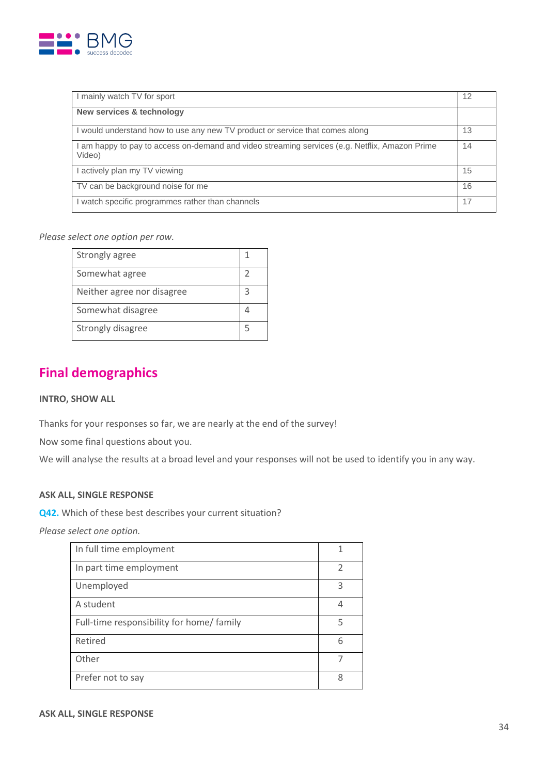

| I mainly watch TV for sport                                                                              | 12 |
|----------------------------------------------------------------------------------------------------------|----|
| New services & technology                                                                                |    |
| I would understand how to use any new TV product or service that comes along                             | 13 |
| I am happy to pay to access on-demand and video streaming services (e.g. Netflix, Amazon Prime<br>Video) | 14 |
| l actively plan my TV viewing                                                                            | 15 |
| TV can be background noise for me                                                                        | 16 |
| I watch specific programmes rather than channels                                                         | 17 |

*Please select one option per row.*

| Strongly agree             |   |
|----------------------------|---|
| Somewhat agree             |   |
| Neither agree nor disagree | ₹ |
| Somewhat disagree          |   |
| Strongly disagree          |   |

# **Final demographics**

#### **INTRO, SHOW ALL**

Thanks for your responses so far, we are nearly at the end of the survey!

Now some final questions about you.

We will analyse the results at a broad level and your responses will not be used to identify you in any way.

#### **ASK ALL, SINGLE RESPONSE**

**Q42.** Which of these best describes your current situation?

*Please select one option.*

| In full time employment                   |               |
|-------------------------------------------|---------------|
| In part time employment                   | $\mathcal{P}$ |
| Unemployed                                | 3             |
| A student                                 | 4             |
| Full-time responsibility for home/ family | 5             |
| Retired                                   | 6             |
| Other                                     |               |
| Prefer not to say                         | 8             |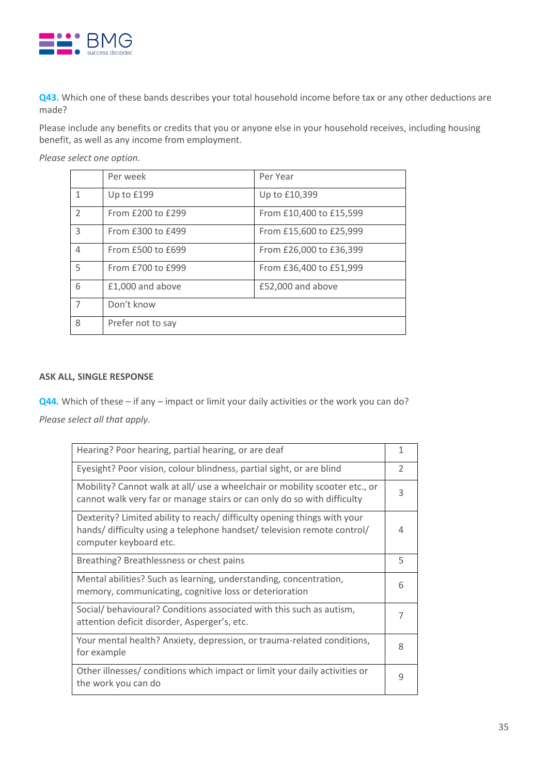

**Q43.** Which one of these bands describes your total household income before tax or any other deductions are made?

Please include any benefits or credits that you or anyone else in your household receives, including housing benefit, as well as any income from employment.

*Please select one option.*

|                | Per week          | Per Year                |
|----------------|-------------------|-------------------------|
| $\mathbf{1}$   | Up to £199        | Up to £10,399           |
| 2              | From £200 to £299 | From £10,400 to £15,599 |
| 3              | From £300 to £499 | From £15,600 to £25,999 |
| 4              | From £500 to £699 | From £26,000 to £36,399 |
| 5              | From £700 to £999 | From £36,400 to £51,999 |
| 6              | £1,000 and above  | £52,000 and above       |
| $\overline{7}$ | Don't know        |                         |
| 8              | Prefer not to say |                         |

#### **ASK ALL, SINGLE RESPONSE**

**Q44***.* Which of these – if any – impact or limit your daily activities or the work you can do? *Please select all that apply.*

| Hearing? Poor hearing, partial hearing, or are deaf                                                                                                                           | 1             |
|-------------------------------------------------------------------------------------------------------------------------------------------------------------------------------|---------------|
| Eyesight? Poor vision, colour blindness, partial sight, or are blind                                                                                                          | $\mathcal{P}$ |
| Mobility? Cannot walk at all/ use a wheelchair or mobility scooter etc., or<br>cannot walk very far or manage stairs or can only do so with difficulty                        | 3             |
| Dexterity? Limited ability to reach/ difficulty opening things with your<br>hands/ difficulty using a telephone handset/ television remote control/<br>computer keyboard etc. | 4             |
| Breathing? Breathlessness or chest pains                                                                                                                                      | 5             |
| Mental abilities? Such as learning, understanding, concentration,<br>memory, communicating, cognitive loss or deterioration                                                   | 6             |
| Social/behavioural? Conditions associated with this such as autism,<br>attention deficit disorder, Asperger's, etc.                                                           | 7             |
| Your mental health? Anxiety, depression, or trauma-related conditions,<br>for example                                                                                         | 8             |
| Other illnesses/ conditions which impact or limit your daily activities or<br>the work you can do                                                                             | 9             |